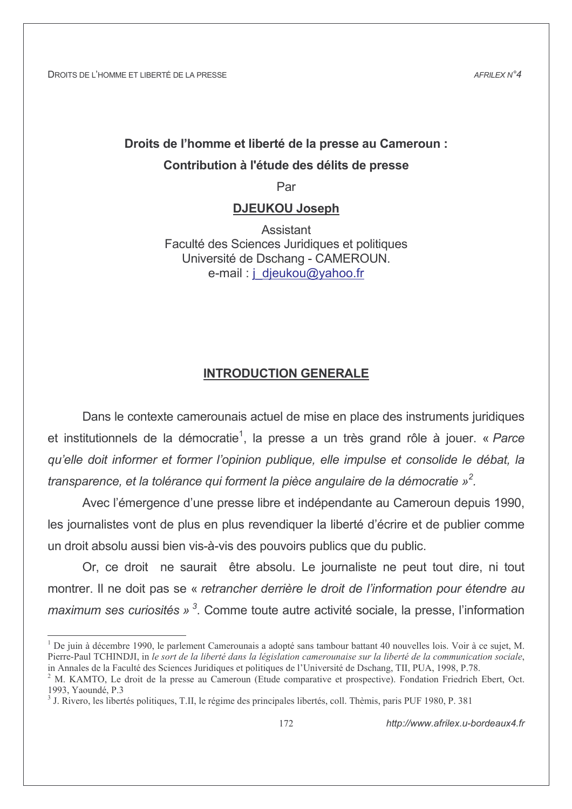$AFRII$   $FXN^24$ 

# Droits de l'homme et liberté de la presse au Cameroun : Contribution à l'étude des délits de presse

Par

# **DJEUKOU Joseph**

Assistant Faculté des Sciences Juridiques et politiques Université de Dschang - CAMEROUN. e-mail: j djeukou@yahoo.fr

# **INTRODUCTION GENERALE**

Dans le contexte camerounais actuel de mise en place des instruments juridiques et institutionnels de la démocratie<sup>1</sup>, la presse a un très grand rôle à jouer. « Parce qu'elle doit informer et former l'opinion publique, elle impulse et consolide le débat, la transparence, et la tolérance qui forment la pièce angulaire de la démocratie  $\psi^2$ .

Avec l'émergence d'une presse libre et indépendante au Cameroun depuis 1990, les journalistes vont de plus en plus revendiquer la liberté d'écrire et de publier comme un droit absolu aussi bien vis-à-vis des pouvoirs publics que du public.

Or, ce droit ne saurait être absolu. Le journaliste ne peut tout dire, ni tout montrer. Il ne doit pas se « retrancher derrière le droit de l'information pour étendre au maximum ses curiosités »  $3$ . Comme toute autre activité sociale, la presse. l'information

De juin à décembre 1990, le parlement Camerounais a adopté sans tambour battant 40 nouvelles lois. Voir à ce sujet, M. Pierre-Paul TCHINDJI, in le sort de la liberté dans la législation camerounaise sur la liberté de la communication sociale, in Annales de la Faculté des Sciences Juridiques et politiques de l'Université de Dschang, TII, PUA, 1998, P.78.

<sup>&</sup>lt;sup>2</sup> M. KAMTO, Le droit de la presse au Cameroun (Etude comparative et prospective). Fondation Friedrich Ebert, Oct. 1993 Yaoundé P 3

<sup>&</sup>lt;sup>3</sup> J. Rivero, les libertés politiques, T.II, le régime des principales libertés, coll. Thèmis, paris PUF 1980, P. 381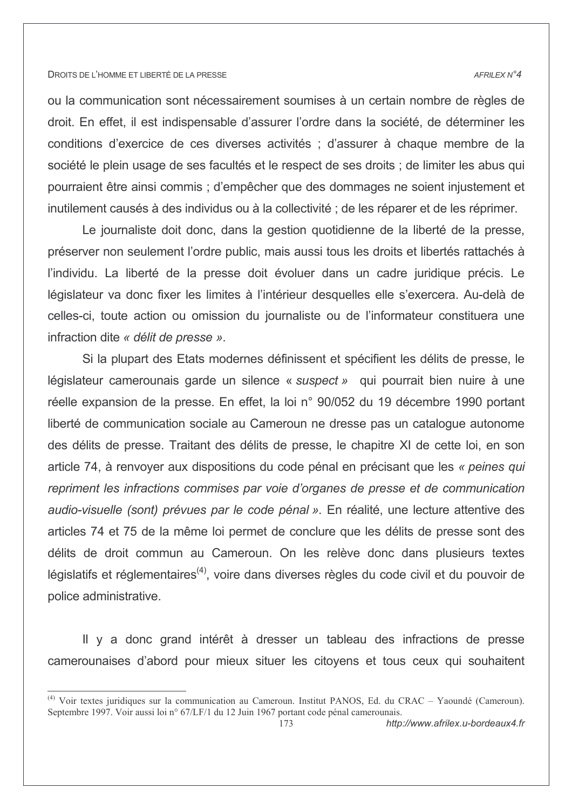#### AFRILEX N°4

ou la communication sont nécessairement soumises à un certain nombre de règles de droit. En effet, il est indispensable d'assurer l'ordre dans la société, de déterminer les conditions d'exercice de ces diverses activités ; d'assurer à chaque membre de la société le plein usage de ses facultés et le respect de ses droits : de limiter les abus qui pourraient être ainsi commis ; d'empêcher que des dommages ne soient injustement et inutilement causés à des individus ou à la collectivité ; de les réparer et de les réprimer.

Le journaliste doit donc, dans la gestion quotidienne de la liberté de la presse, préserver non seulement l'ordre public, mais aussi tous les droits et libertés rattachés à l'individu. La liberté de la presse doit évoluer dans un cadre juridique précis. Le législateur va donc fixer les limites à l'intérieur desquelles elle s'exercera. Au-delà de celles-ci, toute action ou omission du journaliste ou de l'informateur constituera une infraction dite « délit de presse ».

Si la plupart des Etats modernes définissent et spécifient les délits de presse, le législateur camerounais garde un silence « suspect » qui pourrait bien nuire à une réelle expansion de la presse. En effet, la loi n° 90/052 du 19 décembre 1990 portant liberté de communication sociale au Cameroun ne dresse pas un catalogue autonome des délits de presse. Traitant des délits de presse, le chapitre XI de cette loi, en son article 74, à renvoyer aux dispositions du code pénal en précisant que les « peines qui repriment les infractions commises par voie d'organes de presse et de communication audio-visuelle (sont) prévues par le code pénal ». En réalité, une lecture attentive des articles 74 et 75 de la même loi permet de conclure que les délits de presse sont des délits de droit commun au Cameroun. On les relève donc dans plusieurs textes législatifs et réglementaires<sup>(4)</sup>, voire dans diverses règles du code civil et du pouvoir de police administrative.

Il y a donc grand intérêt à dresser un tableau des infractions de presse camerounaises d'abord pour mieux situer les citoyens et tous ceux qui souhaitent

<sup>&</sup>lt;sup>(4)</sup> Voir textes juridiques sur la communication au Cameroun. Institut PANOS, Ed. du CRAC – Yaoundé (Cameroun). Septembre 1997. Voir aussi loi n° 67/LF/1 du 12 Juin 1967 portant code pénal camerounais.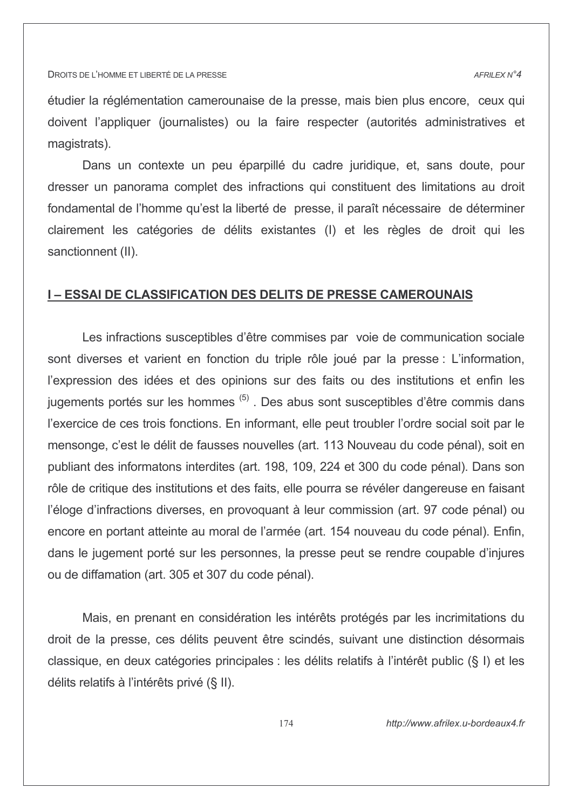étudier la réglémentation camerounaise de la presse, mais bien plus encore, ceux qui doivent l'appliquer (journalistes) ou la faire respecter (autorités administratives et magistrats).

Dans un contexte un peu éparpillé du cadre juridique, et, sans doute, pour dresser un panorama complet des infractions qui constituent des limitations au droit fondamental de l'homme qu'est la liberté de presse, il paraît nécessaire de déterminer clairement les catégories de délits existantes (I) et les règles de droit qui les sanctionnent (II).

### **I-ESSAI DE CLASSIFICATION DES DELITS DE PRESSE CAMEROUNAIS**

Les infractions susceptibles d'être commises par voie de communication sociale sont diverses et varient en fonction du triple rôle joué par la presse : L'information, l'expression des idées et des opinions sur des faits ou des institutions et enfin les jugements portés sur les hommes<sup>(5)</sup>. Des abus sont susceptibles d'être commis dans l'exercice de ces trois fonctions. En informant, elle peut troubler l'ordre social soit par le mensonge, c'est le délit de fausses nouvelles (art. 113 Nouveau du code pénal), soit en publiant des informatons interdites (art. 198, 109, 224 et 300 du code pénal). Dans son rôle de critique des institutions et des faits, elle pourra se révéler dangereuse en faisant l'éloge d'infractions diverses, en provoguant à leur commission (art. 97 code pénal) ou encore en portant atteinte au moral de l'armée (art. 154 nouveau du code pénal). Enfin, dans le jugement porté sur les personnes, la presse peut se rendre coupable d'injures ou de diffamation (art. 305 et 307 du code pénal).

Mais, en prenant en considération les intérêts protégés par les incrimitations du droit de la presse, ces délits peuvent être scindés, suivant une distinction désormais classique, en deux catégories principales : les délits relatifs à l'intérêt public (§ I) et les délits relatifs à l'intérêts privé (§ II).

http://www.afrilex.u-bordeaux4.fr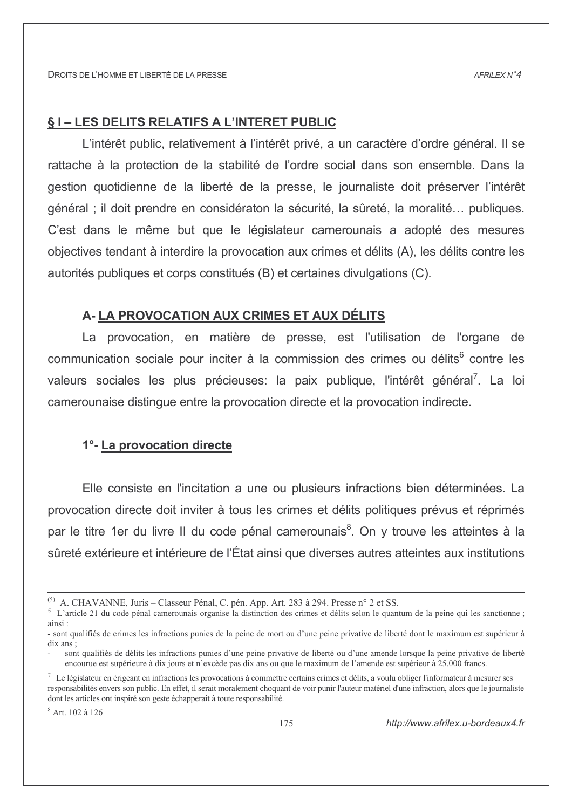# **§1-LES DELITS RELATIFS A L'INTERET PUBLIC**

L'intérêt public, relativement à l'intérêt privé, a un caractère d'ordre général. Il se rattache à la protection de la stabilité de l'ordre social dans son ensemble. Dans la gestion quotidienne de la liberté de la presse, le journaliste doit préserver l'intérêt général ; il doit prendre en considératon la sécurité, la sûreté, la moralité... publiques. C'est dans le même but que le législateur camerounais a adopté des mesures objectives tendant à interdire la provocation aux crimes et délits (A), les délits contre les autorités publiques et corps constitués (B) et certaines divulgations (C).

### A-LA PROVOCATION AUX CRIMES ET AUX DÉLITS

La provocation, en matière de presse, est l'utilisation de l'organe de communication sociale pour inciter à la commission des crimes ou délits<sup>6</sup> contre les valeurs sociales les plus précieuses: la paix publique, l'intérêt général<sup>7</sup>. La loi camerounaise distingue entre la provocation directe et la provocation indirecte.

# 1°-La provocation directe

Elle consiste en l'incitation a une ou plusieurs infractions bien déterminées. La provocation directe doit inviter à tous les crimes et délits politiques prévus et réprimés par le titre 1er du livre II du code pénal camerounais<sup>8</sup>. On y trouve les atteintes à la sûreté extérieure et intérieure de l'État ainsi que diverses autres atteintes aux institutions

 $8$  Art 102 à 126

<sup>&</sup>lt;sup>(5)</sup> A. CHAVANNE, Juris – Classeur Pénal, C. pén. App. Art. 283 à 294. Presse n° 2 et SS.

 $6\text{ L'article } 21\text{ du code pénal carmerounais organise la distinction des crimes et délits selon le quantum de la peine qui les sanctionne ;$ ainsi:

<sup>-</sup> sont qualifiés de crimes les infractions punies de la peine de mort ou d'une peine privative de liberté dont le maximum est supérieur à  $\operatorname{d}$ ix ans;

sont qualifiés de délits les infractions punies d'une peine privative de liberté ou d'une amende lorsque la peine privative de liberté encourue est supérieure à dix jours et n'excède pas dix ans ou que le maximum de l'amende est supérieur à 25.000 francs.

<sup>7</sup> Le législateur en érigeant en infractions les provocations à commettre certains crimes et délits, a voulu obliger l'informateur à mesurer ses responsabilités envers son public. En effet, il serait moralement choquant de voir punir l'auteur matériel d'une infraction, alors que le journaliste dont les articles ont inspiré son geste échapperait à toute responsabilité.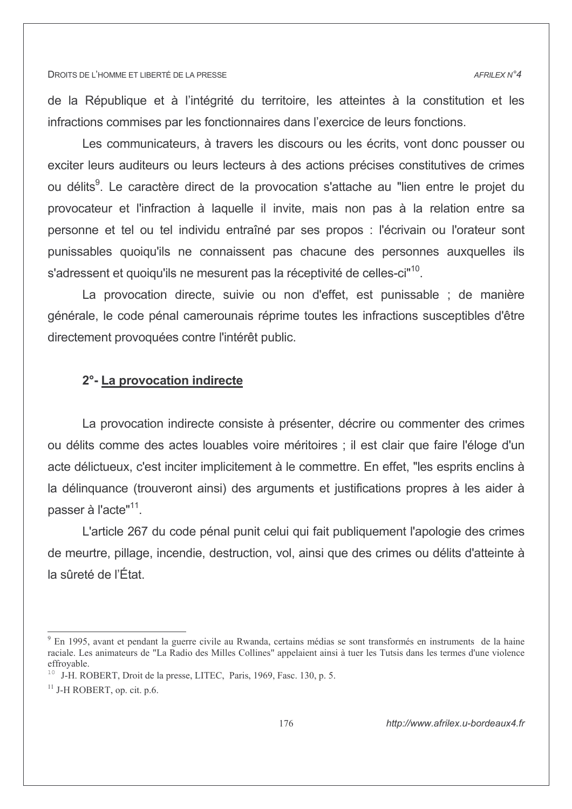de la République et à l'intégrité du territoire, les atteintes à la constitution et les infractions commises par les fonctionnaires dans l'exercice de leurs fonctions.

Les communicateurs, à travers les discours ou les écrits, vont donc pousser ou exciter leurs auditeurs ou leurs lecteurs à des actions précises constitutives de crimes ou délits<sup>9</sup>. Le caractère direct de la provocation s'attache au "lien entre le projet du provocateur et l'infraction à laquelle il invite, mais non pas à la relation entre sa personne et tel ou tel individu entraîné par ses propos : l'écrivain ou l'orateur sont punissables quoiqu'ils ne connaissent pas chacune des personnes auxquelles ils s'adressent et quoiqu'ils ne mesurent pas la réceptivité de celles-ci<sup>n10</sup>.

La provocation directe, suivie ou non d'effet, est punissable ; de manière générale, le code pénal camerounais réprime toutes les infractions susceptibles d'être directement provoquées contre l'intérêt public.

### 2°-La provocation indirecte

La provocation indirecte consiste à présenter, décrire ou commenter des crimes ou délits comme des actes louables voire méritoires ; il est clair que faire l'éloge d'un acte délictueux, c'est inciter implicitement à le commettre. En effet, "les esprits enclins à la délinguance (trouveront ainsi) des arguments et justifications propres à les aider à passer à l'acte"<sup>11</sup>.

L'article 267 du code pénal punit celui qui fait publiquement l'apologie des crimes de meurtre, pillage, incendie, destruction, vol, ainsi que des crimes ou délits d'atteinte à la sûreté de l'État.

<sup>&</sup>lt;sup>9</sup> En 1995, avant et pendant la guerre civile au Rwanda, certains médias se sont transformés en instruments de la haine raciale. Les animateurs de "La Radio des Milles Collines" appelaient ainsi à tuer les Tutsis dans les termes d'une violence effrovable.

<sup>&</sup>lt;sup>10</sup> J-H. ROBERT, Droit de la presse, LITEC, Paris, 1969, Fasc. 130, p. 5.

 $^{11}$  J-H ROBERT, op. cit. p.6.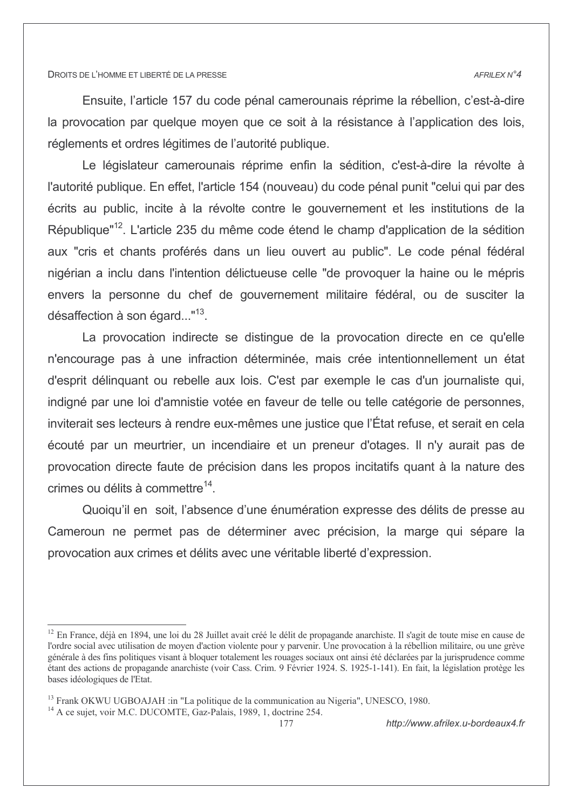#### AFRILEX N°4

Ensuite, l'article 157 du code pénal camerounais réprime la rébellion, c'est-à-dire la provocation par quelque moyen que ce soit à la résistance à l'application des lois, réglements et ordres légitimes de l'autorité publique.

Le législateur camerounais réprime enfin la sédition, c'est-à-dire la révolte à l'autorité publique. En effet, l'article 154 (nouveau) du code pénal punit "celui qui par des écrits au public, incite à la révolte contre le gouvernement et les institutions de la République"<sup>12</sup>. L'article 235 du même code étend le champ d'application de la sédition aux "cris et chants proférés dans un lieu ouvert au public". Le code pénal fédéral nigérian a inclu dans l'intention délictueuse celle "de provoquer la haine ou le mépris envers la personne du chef de gouvernement militaire fédéral, ou de susciter la désaffection à son égard... $^{\prime\prime}$ <sup>13</sup>.

La provocation indirecte se distingue de la provocation directe en ce qu'elle n'encourage pas à une infraction déterminée, mais crée intentionnellement un état d'esprit délinguant ou rebelle aux lois. C'est par exemple le cas d'un journaliste qui, indigné par une loi d'amnistie votée en faveur de telle ou telle catégorie de personnes, inviterait ses lecteurs à rendre eux-mêmes une justice que l'État refuse, et serait en cela écouté par un meurtrier, un incendiaire et un preneur d'otages. Il n'y aurait pas de provocation directe faute de précision dans les propos incitatifs quant à la nature des crimes ou délits à commettre<sup>14</sup>.

Quoiqu'il en soit, l'absence d'une énumération expresse des délits de presse au Cameroun ne permet pas de déterminer avec précision, la marge qui sépare la provocation aux crimes et délits avec une véritable liberté d'expression.

<sup>&</sup>lt;sup>12</sup> En France, déjà en 1894, une loi du 28 Juillet avait créé le délit de propagande anarchiste. Il s'agit de toute mise en cause de l'ordre social avec utilisation de moyen d'action violente pour y parvenir. Une provocation à la rébellion militaire, ou une grève générale à des fins politiques visant à bloquer totalement les rouages sociaux ont ainsi été déclarées par la jurisprudence comme étant des actions de propagande anarchiste (voir Cass, Crim. 9 Février 1924, S. 1925-1-141). En fait, la législation protège les bases idéologiques de l'Etat.

<sup>&</sup>lt;sup>13</sup> Frank OKWU UGBOAJAH :in "La politique de la communication au Nigeria", UNESCO, 1980.

<sup>&</sup>lt;sup>14</sup> A ce sujet, voir M.C. DUCOMTE, Gaz-Palais, 1989, 1, doctrine 254.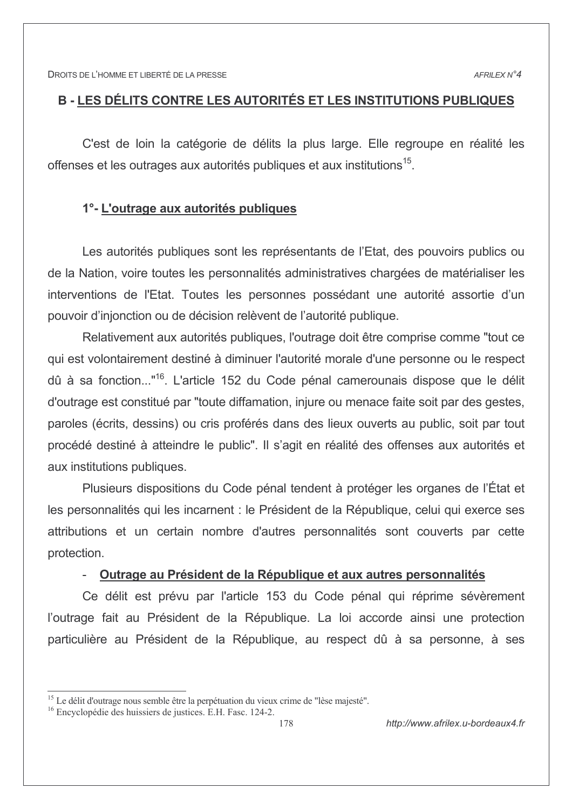# B - LES DÉLITS CONTRE LES AUTORITÉS ET LES INSTITUTIONS PUBLIQUES

C'est de loin la catégorie de délits la plus large. Elle regroupe en réalité les offenses et les outrages aux autorités publiques et aux institutions<sup>15</sup>.

# 1°- L'outrage aux autorités publiques

Les autorités publiques sont les représentants de l'Etat, des pouvoirs publics ou de la Nation, voire toutes les personnalités administratives chargées de matérialiser les interventions de l'Etat. Toutes les personnes possédant une autorité assortie d'un pouvoir d'injonction ou de décision relèvent de l'autorité publique.

Relativement aux autorités publiques, l'outrage doit être comprise comme "tout ce qui est volontairement destiné à diminuer l'autorité morale d'une personne ou le respect dû à sa fonction..."<sup>16</sup>. L'article 152 du Code pénal camerounais dispose que le délit d'outrage est constitué par "toute diffamation, injure ou menace faite soit par des gestes, paroles (écrits, dessins) ou cris proférés dans des lieux ouverts au public, soit par tout procédé destiné à atteindre le public". Il s'agit en réalité des offenses aux autorités et aux institutions publiques.

Plusieurs dispositions du Code pénal tendent à protéger les organes de l'État et les personnalités qui les incarnent : le Président de la République, celui qui exerce ses attributions et un certain nombre d'autres personnalités sont couverts par cette protection.

## Outrage au Président de la République et aux autres personnalités

Ce délit est prévu par l'article 153 du Code pénal qui réprime sévèrement l'outrage fait au Président de la République. La loi accorde ainsi une protection particulière au Président de la République, au respect dû à sa personne, à ses

<sup>&</sup>lt;sup>15</sup> Le délit d'outrage nous semble être la perpétuation du vieux crime de "lèse majesté".

<sup>&</sup>lt;sup>16</sup> Encyclopédie des huissiers de justices. E.H. Fasc. 124-2.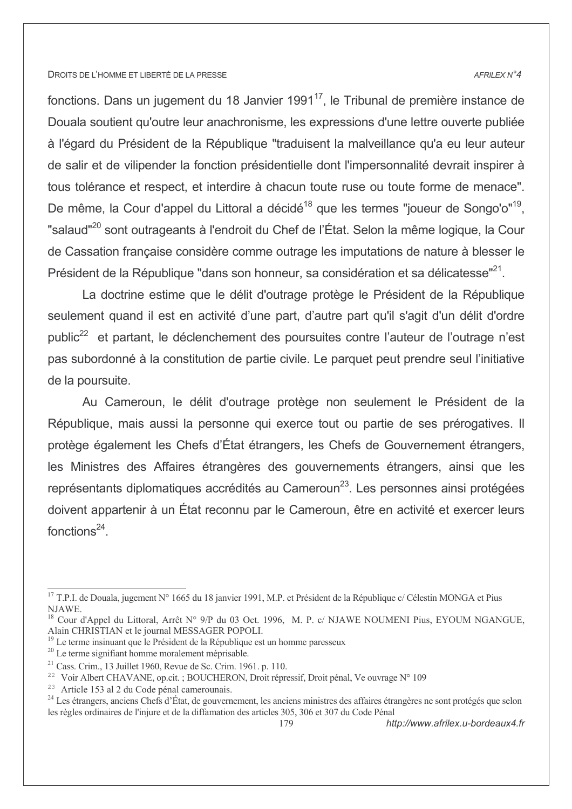#### AFRILEX N°4

fonctions. Dans un jugement du 18 Janvier 1991<sup>17</sup>, le Tribunal de première instance de Douala soutient qu'outre leur anachronisme, les expressions d'une lettre ouverte publiée à l'égard du Président de la République "traduisent la malveillance qu'a eu leur auteur de salir et de vilipender la fonction présidentielle dont l'impersonnalité devrait inspirer à tous tolérance et respect, et interdire à chacun toute ruse ou toute forme de menace". De même, la Cour d'appel du Littoral a décidé<sup>18</sup> que les termes "joueur de Songo'o"<sup>19</sup>. "salaud"<sup>20</sup> sont outrageants à l'endroit du Chef de l'État. Selon la même logique, la Cour de Cassation française considère comme outrage les imputations de nature à blesser le Président de la République "dans son honneur, sa considération et sa délicatesse"<sup>21</sup>.

La doctrine estime que le délit d'outrage protège le Président de la République seulement quand il est en activité d'une part, d'autre part qu'il s'agit d'un délit d'ordre public<sup>22</sup> et partant, le déclenchement des poursuites contre l'auteur de l'outrage n'est pas subordonné à la constitution de partie civile. Le parquet peut prendre seul l'initiative de la poursuite.

Au Cameroun, le délit d'outrage protège non seulement le Président de la République, mais aussi la personne qui exerce tout ou partie de ses prérogatives. Il protège également les Chefs d'État étrangers, les Chefs de Gouvernement étrangers, les Ministres des Affaires étrangères des gouvernements étrangers, ainsi que les représentants diplomatiques accrédités au Cameroun<sup>23</sup>. Les personnes ainsi protégées doivent appartenir à un État reconnu par le Cameroun, être en activité et exercer leurs fonctions $^{24}$ .

<sup>&</sup>lt;sup>17</sup> T.P.I. de Douala, jugement N° 1665 du 18 janvier 1991, M.P. et Président de la République c/ Célestin MONGA et Pius NJAWE.

<sup>&</sup>lt;sup>18</sup> Cour d'Appel du Littoral, Arrêt N° 9/P du 03 Oct. 1996, M. P. c/ NJAWE NOUMENI Pius, EYOUM NGANGUE, Alain CHRISTIAN et le journal MESSAGER POPOLI.

<sup>&</sup>lt;sup>19</sup> Le terme insinuant que le Président de la République est un homme paresseux

<sup>&</sup>lt;sup>20</sup> Le terme signifiant homme moralement méprisable.

 $^{21}$  Cass. Crim., 13 Juillet 1960, Revue de Sc. Crim. 1961. p. 110.

<sup>&</sup>lt;sup>22</sup> Voir Albert CHAVANE, op.cit.; BOUCHERON, Droit répressif, Droit pénal, Ve ouvrage N° 109

<sup>&</sup>lt;sup>23</sup> Article 153 al 2 du Code pénal camerounais.

<sup>&</sup>lt;sup>24</sup> Les étrangers, anciens Chefs d'État, de gouvernement, les anciens ministres des affaires étrangères ne sont protégés que selon les règles ordinaires de l'injure et de la diffamation des articles 305, 306 et 307 du Code Pénal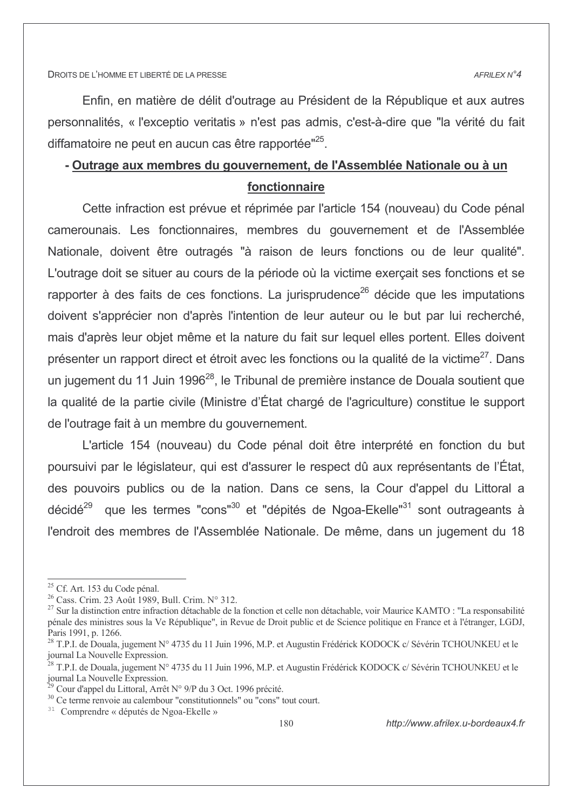Enfin, en matière de délit d'outrage au Président de la République et aux autres personnalités. « l'exceptio veritatis » n'est pas admis, c'est-à-dire que "la vérité du fait diffamatoire ne peut en aucun cas être rapportée"<sup>25</sup>.

# - Outrage aux membres du gouvernement, de l'Assemblée Nationale ou à un fonctionnaire

Cette infraction est prévue et réprimée par l'article 154 (nouveau) du Code pénal camerounais. Les fonctionnaires, membres du gouvernement et de l'Assemblée Nationale, doivent être outragés "à raison de leurs fonctions ou de leur qualité". L'outrage doit se situer au cours de la période où la victime exercait ses fonctions et se rapporter à des faits de ces fonctions. La jurisprudence<sup>26</sup> décide que les imputations doivent s'apprécier non d'après l'intention de leur auteur ou le but par lui recherché, mais d'après leur objet même et la nature du fait sur lequel elles portent. Elles doivent présenter un rapport direct et étroit avec les fonctions ou la qualité de la victime<sup>27</sup>. Dans un jugement du 11 Juin 1996<sup>28</sup>, le Tribunal de première instance de Douala soutient que la qualité de la partie civile (Ministre d'État chargé de l'agriculture) constitue le support de l'outrage fait à un membre du gouvernement.

L'article 154 (nouveau) du Code pénal doit être interprété en fonction du but poursuivi par le législateur, qui est d'assurer le respect dû aux représentants de l'État, des pouvoirs publics ou de la nation. Dans ce sens, la Cour d'appel du Littoral a décidé<sup>29</sup> que les termes "cons"<sup>30</sup> et "dépités de Ngoa-Ekelle"<sup>31</sup> sont outrageants à l'endroit des membres de l'Assemblée Nationale. De même, dans un jugement du 18

<sup>&</sup>lt;sup>25</sup> Cf. Art. 153 du Code pénal.

<sup>&</sup>lt;sup>26</sup> Cass. Crim. 23 Août 1989, Bull. Crim. N° 312.

<sup>&</sup>lt;sup>27</sup> Sur la distinction entre infraction détachable de la fonction et celle non détachable, voir Maurice KAMTO : "La responsabilité pénale des ministres sous la Ve République", in Revue de Droit public et de Science politique en France et à l'étranger, LGDJ, Paris 1991, p. 1266.

<sup>&</sup>lt;sup>28</sup> T.P.I. de Douala, jugement N° 4735 du 11 Juin 1996, M.P. et Augustin Frédérick KODOCK c/Sévérin TCHOUNKEU et le journal La Nouvelle Expression.

<sup>&</sup>lt;sup>28</sup> T.P.I. de Douala, jugement N° 4735 du 11 Juin 1996, M.P. et Augustin Frédérick KODOCK c/Sévérin TCHOUNKEU et le journal La Nouvelle Expression.

Cour d'appel du Littoral, Arrêt N° 9/P du 3 Oct. 1996 précité.

<sup>&</sup>lt;sup>30</sup> Ce terme renvoie au calembour "constitutionnels" ou "cons" tout court.

<sup>&</sup>lt;sup>31</sup> Comprendre « députés de Ngoa-Ekelle »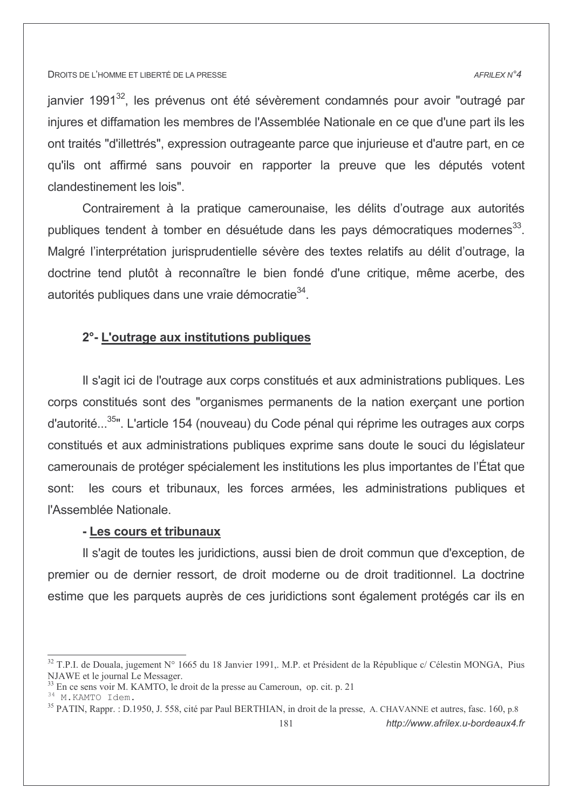#### AFRILEX N°4

janvier 1991<sup>32</sup>, les prévenus ont été sévèrement condamnés pour avoir "outragé par iniures et diffamation les membres de l'Assemblée Nationale en ce que d'une part ils les ont traités "d'illettrés", expression outrageante parce que injurieuse et d'autre part, en ce qu'ils ont affirmé sans pouvoir en rapporter la preuve que les députés votent clandestinement les lois".

Contrairement à la pratique camerounaise, les délits d'outrage aux autorités publiques tendent à tomber en désuétude dans les pays démocratiques modernes<sup>33</sup>. Malgré l'interprétation jurisprudentielle sévère des textes relatifs au délit d'outrage, la doctrine tend plutôt à reconnaître le bien fondé d'une critique, même acerbe, des autorités publiques dans une vraie démocratie<sup>34</sup>.

# 2°- L'outrage aux institutions publiques

Il s'agit ici de l'outrage aux corps constitués et aux administrations publiques. Les corps constitués sont des "organismes permanents de la nation exerçant une portion d'autorité...<sup>35</sup>". L'article 154 (nouveau) du Code pénal qui réprime les outrages aux corps constitués et aux administrations publiques exprime sans doute le souci du législateur camerounais de protéger spécialement les institutions les plus importantes de l'État que les cours et tribunaux, les forces armées, les administrations publiques et sont: l'Assemblée Nationale.

### - Les cours et tribunaux

Il s'agit de toutes les juridictions, aussi bien de droit commun que d'exception, de premier ou de dernier ressort, de droit moderne ou de droit traditionnel. La doctrine estime que les parquets auprès de ces juridictions sont également protégés car ils en

http://www.afrilex.u-bordeaux4.fr

<sup>&</sup>lt;sup>32</sup> T.P.I. de Douala, jugement N° 1665 du 18 Janvier 1991,. M.P. et Président de la République c/ Célestin MONGA, Pius NJAWE et le journal Le Messager.

En ce sens voir M. KAMTO, le droit de la presse au Cameroun, op. cit. p. 21

<sup>34</sup> M.KAMTO Idem.

<sup>&</sup>lt;sup>35</sup> PATIN, Rappr. : D.1950, J. 558, cité par Paul BERTHIAN, in droit de la presse, A. CHAVANNE et autres, fasc. 160, p.8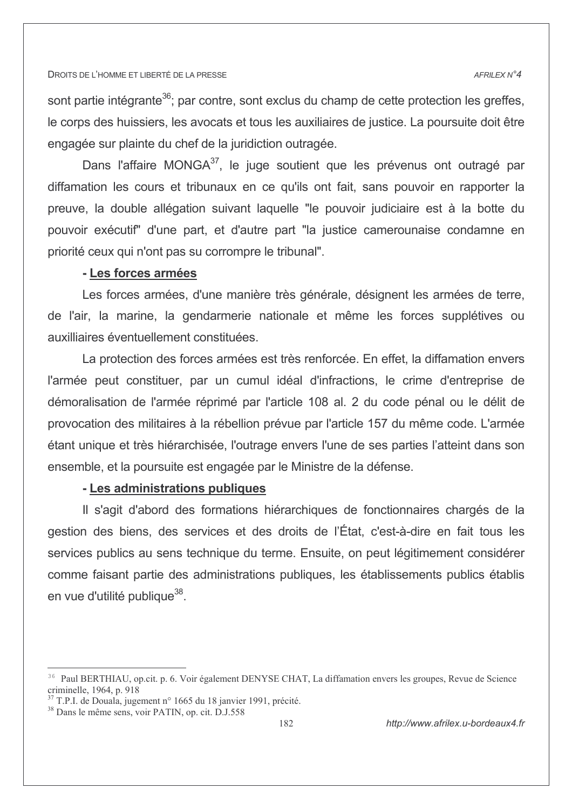#### AFRILEX N°4

sont partie intégrante<sup>36</sup>; par contre, sont exclus du champ de cette protection les greffes, le corps des huissiers, les avocats et tous les auxiliaires de justice. La poursuite doit être engagée sur plainte du chef de la juridiction outragée.

Dans l'affaire MONGA<sup>37</sup>, le juge soutient que les prévenus ont outragé par diffamation les cours et tribunaux en ce qu'ils ont fait, sans pouvoir en rapporter la preuve, la double allégation suivant laquelle "le pouvoir judiciaire est à la botte du pouvoir exécutif" d'une part, et d'autre part "la justice camerounaise condamne en priorité ceux qui n'ont pas su corrompre le tribunal".

### - Les forces armées

Les forces armées, d'une manière très générale, désignent les armées de terre, de l'air, la marine, la gendarmerie nationale et même les forces supplétives ou auxilliaires éventuellement constituées.

La protection des forces armées est très renforcée. En effet, la diffamation envers l'armée peut constituer, par un cumul idéal d'infractions, le crime d'entreprise de démoralisation de l'armée réprimé par l'article 108 al. 2 du code pénal ou le délit de provocation des militaires à la rébellion prévue par l'article 157 du même code. L'armée étant unique et très hiérarchisée, l'outrage envers l'une de ses parties l'atteint dans son ensemble, et la poursuite est engagée par le Ministre de la défense.

# - Les administrations publiques

Il s'agit d'abord des formations hiérarchiques de fonctionnaires chargés de la gestion des biens, des services et des droits de l'État, c'est-à-dire en fait tous les services publics au sens technique du terme. Ensuite, on peut légitimement considérer comme faisant partie des administrations publiques, les établissements publics établis en vue d'utilité publique<sup>38</sup>.

<sup>&</sup>lt;sup>36</sup> Paul BERTHIAU, op.cit. p. 6. Voir également DENYSE CHAT, La diffamation envers les groupes, Revue de Science criminelle, 1964, p. 918

<sup>&</sup>lt;sup>37</sup> T.P.I. de Douala, jugement n° 1665 du 18 janvier 1991, précité.

<sup>&</sup>lt;sup>38</sup> Dans le même sens, voir PATIN, op. cit. D.J.558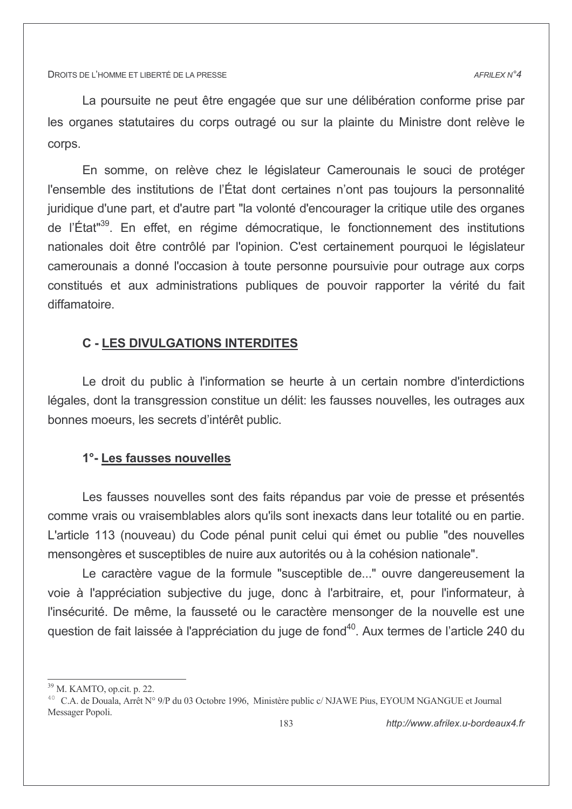La poursuite ne peut être engagée que sur une délibération conforme prise par les organes statutaires du corps outragé ou sur la plainte du Ministre dont relève le corps.

En somme, on relève chez le législateur Camerounais le souci de protéger l'ensemble des institutions de l'État dont certaines n'ont pas toujours la personnalité juridique d'une part, et d'autre part "la volonté d'encourager la critique utile des organes de l'État"<sup>39</sup>. En effet, en régime démocratique, le fonctionnement des institutions nationales doit être contrôlé par l'opinion. C'est certainement pourquoi le législateur camerounais a donné l'occasion à toute personne poursuivie pour outrage aux corps constitués et aux administrations publiques de pouvoir rapporter la vérité du fait diffamatoire.

# **C - LES DIVULGATIONS INTERDITES**

Le droit du public à l'information se heurte à un certain nombre d'interdictions légales, dont la transgression constitue un délit: les fausses nouvelles, les outrages aux bonnes moeurs, les secrets d'intérêt public.

# 1°- Les fausses nouvelles

Les fausses nouvelles sont des faits répandus par voie de presse et présentés comme vrais ou vraisemblables alors qu'ils sont inexacts dans leur totalité ou en partie. L'article 113 (nouveau) du Code pénal punit celui qui émet ou publie "des nouvelles mensongères et susceptibles de nuire aux autorités ou à la cohésion nationale".

Le caractère vague de la formule "susceptible de..." ouvre dangereusement la voie à l'appréciation subjective du juge, donc à l'arbitraire, et, pour l'informateur, à l'insécurité. De même, la fausseté ou le caractère mensonger de la nouvelle est une question de fait laissée à l'appréciation du juge de fond<sup>40</sup>. Aux termes de l'article 240 du

<sup>&</sup>lt;sup>39</sup> M. KAMTO, op.cit. p. 22.

<sup>&</sup>lt;sup>40</sup> C.A. de Douala, Arrêt N° 9/P du 03 Octobre 1996, Ministère public c/ NJAWE Pius, EYOUM NGANGUE et Journal Messager Popoli.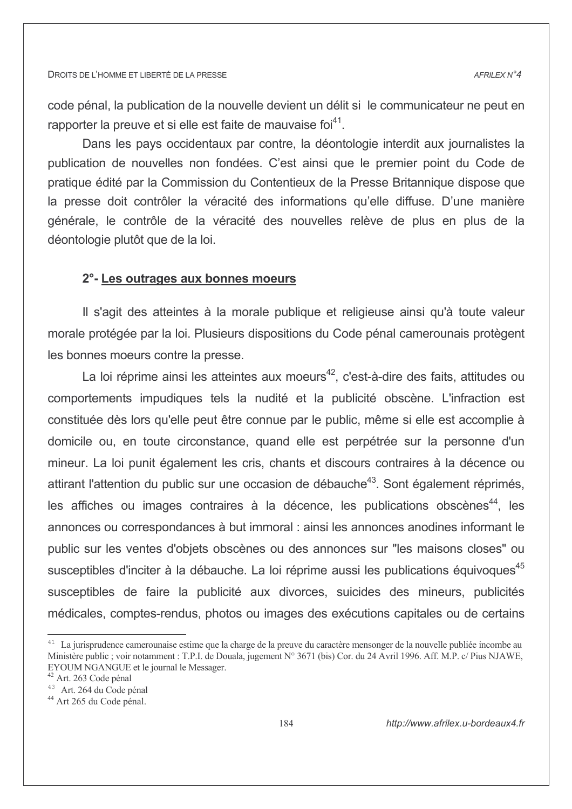code pénal, la publication de la nouvelle devient un délit si le communicateur ne peut en rapporter la preuve et si elle est faite de mauvaise foi<sup>41</sup>.

Dans les pays occidentaux par contre, la déontologie interdit aux journalistes la publication de nouvelles non fondées. C'est ainsi que le premier point du Code de pratique édité par la Commission du Contentieux de la Presse Britannique dispose que la presse doit contrôler la véracité des informations qu'elle diffuse. D'une manière générale, le contrôle de la véracité des nouvelles relève de plus en plus de la déontologie plutôt que de la loi.

## 2°- Les outrages aux bonnes moeurs

Il s'agit des atteintes à la morale publique et religieuse ainsi qu'à toute valeur morale protégée par la loi. Plusieurs dispositions du Code pénal camerounais protègent les bonnes moeurs contre la presse.

La loi réprime ainsi les atteintes aux moeurs<sup>42</sup>, c'est-à-dire des faits, attitudes ou comportements impudiques tels la nudité et la publicité obscène. L'infraction est constituée dès lors qu'elle peut être connue par le public, même si elle est accomplie à domicile ou, en toute circonstance, quand elle est perpétrée sur la personne d'un mineur. La loi punit également les cris, chants et discours contraires à la décence ou attirant l'attention du public sur une occasion de débauche<sup>43</sup>. Sont également réprimés, les affiches ou images contraires à la décence, les publications obscènes<sup>44</sup>, les annonces ou correspondances à but immoral : ainsi les annonces anodines informant le public sur les ventes d'objets obscènes ou des annonces sur "les maisons closes" ou susceptibles d'inciter à la débauche. La loi réprime aussi les publications équivoques<sup>45</sup> susceptibles de faire la publicité aux divorces, suicides des mineurs, publicités médicales, comptes-rendus, photos ou images des exécutions capitales ou de certains

<sup>&</sup>lt;sup>41</sup> La jurisprudence camerounaise estime que la charge de la preuve du caractère mensonger de la nouvelle publiée incombe au Ministère public ; voir notamment : T.P.I. de Douala, jugement N° 3671 (bis) Cor. du 24 Avril 1996. Aff. M.P. c/ Pius NJAWE, EYOUM NGANGUE et le journal le Messager.

<sup>&</sup>lt;sup>42</sup> Art. 263 Code pénal

<sup>&</sup>lt;sup>43</sup> Art. 264 du Code pénal

<sup>&</sup>lt;sup>44</sup> Art 265 du Code pénal.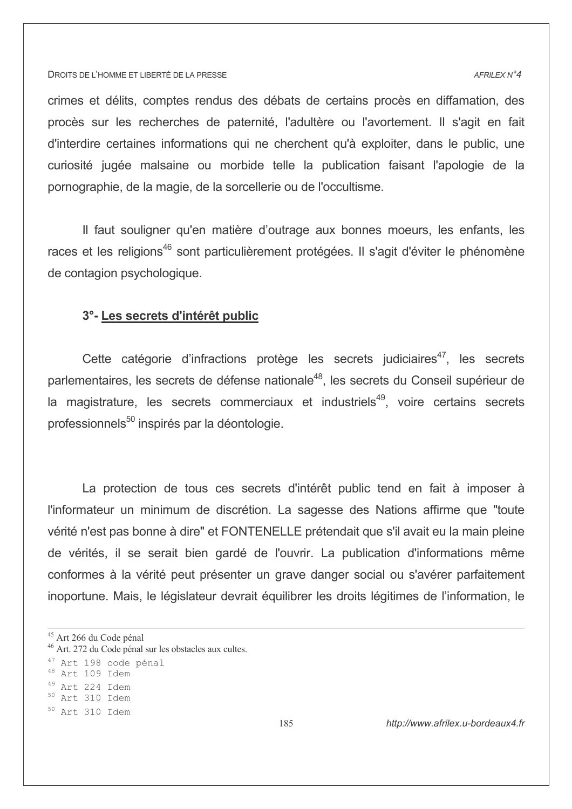#### AFRILEX N°4

crimes et délits, comptes rendus des débats de certains procès en diffamation, des procès sur les recherches de paternité. l'adultère ou l'avortement. Il s'agit en fait d'interdire certaines informations qui ne cherchent qu'à exploiter, dans le public, une curiosité jugée malsaine ou morbide telle la publication faisant l'apologie de la pornographie, de la magie, de la sorcellerie ou de l'occultisme.

Il faut souligner qu'en matière d'outrage aux bonnes moeurs, les enfants, les races et les religions<sup>46</sup> sont particulièrement protégées. Il s'agit d'éviter le phénomène de contagion psychologique.

### 3°- Les secrets d'intérêt public

Cette catégorie d'infractions protège les secrets judiciaires<sup>47</sup>, les secrets parlementaires, les secrets de défense nationale<sup>48</sup>, les secrets du Conseil supérieur de la magistrature, les secrets commerciaux et industriels<sup>49</sup>, voire certains secrets professionnels<sup>50</sup> inspirés par la déontologie.

La protection de tous ces secrets d'intérêt public tend en fait à imposer à l'informateur un minimum de discrétion. La sagesse des Nations affirme que "toute vérité n'est pas bonne à dire" et FONTENELLE prétendait que s'il avait eu la main pleine de vérités, il se serait bien gardé de l'ouvrir. La publication d'informations même conformes à la vérité peut présenter un grave danger social ou s'avérer parfaitement inoportune. Mais, le législateur devrait équilibrer les droits légitimes de l'information, le

- $^{48}$  Art 109 Idem
- <sup>49</sup> Art 224 Idem

 $50$  Art 310 Idem

<sup>&</sup>lt;sup>45</sup> Art 266 du Code pénal

<sup>&</sup>lt;sup>46</sup> Art. 272 du Code pénal sur les obstacles aux cultes.

<sup>47</sup> Art 198 code pénal

 $50$  Art 310 Idem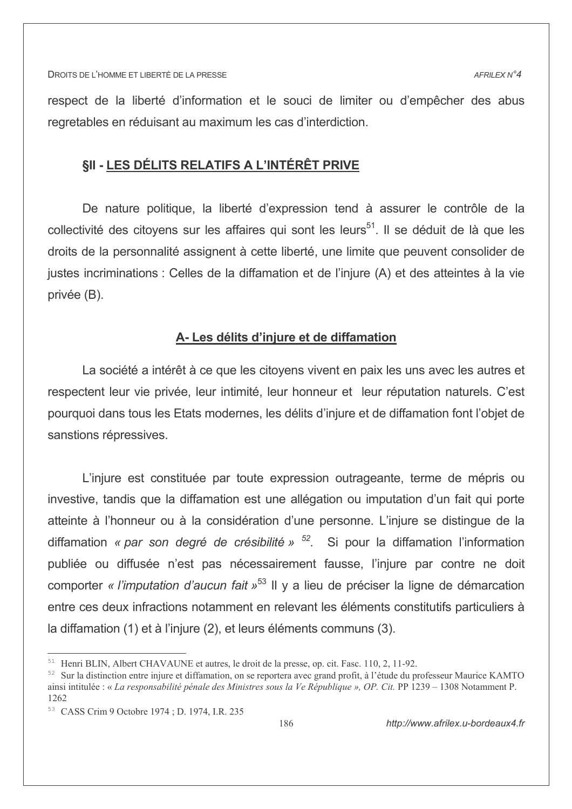respect de la liberté d'information et le souci de limiter ou d'empêcher des abus regretables en réduisant au maximum les cas d'interdiction.

# **SII - LES DÉLITS RELATIFS A L'INTÉRÊT PRIVE**

De nature politique, la liberté d'expression tend à assurer le contrôle de la collectivité des citoyens sur les affaires qui sont les leurs<sup>51</sup>. Il se déduit de là que les droits de la personnalité assignent à cette liberté, une limite que peuvent consolider de justes incriminations : Celles de la diffamation et de l'injure (A) et des atteintes à la vie privée (B).

### A- Les délits d'injure et de diffamation

La société a intérêt à ce que les citoyens vivent en paix les uns avec les autres et respectent leur vie privée, leur intimité, leur honneur et leur réputation naturels. C'est pourquoi dans tous les Etats modernes, les délits d'injure et de diffamation font l'objet de sanstions répressives.

L'injure est constituée par toute expression outrageante, terme de mépris ou investive, tandis que la diffamation est une allégation ou imputation d'un fait qui porte atteinte à l'honneur ou à la considération d'une personne. L'injure se distingue de la diffamation « par son degré de crésibilité »  $52$ . Si pour la diffamation l'information publiée ou diffusée n'est pas nécessairement fausse, l'injure par contre ne doit comporter « l'imputation d'aucun fait »<sup>53</sup> Il y a lieu de préciser la ligne de démarcation entre ces deux infractions notamment en relevant les éléments constitutifs particuliers à la diffamation (1) et à l'injure (2), et leurs éléments communs (3).

<sup>&</sup>lt;sup>51</sup> Henri BLIN, Albert CHAVAUNE et autres, le droit de la presse, op. cit. Fasc. 110, 2, 11-92.

<sup>&</sup>lt;sup>52</sup> Sur la distinction entre injure et diffamation, on se reportera avec grand profit, à l'étude du professeur Maurice KAMTO ainsi intitulée : « La responsabilité pénale des Ministres sous la Ve République », OP. Cit. PP 1239 – 1308 Notamment P. 1262

<sup>&</sup>lt;sup>53</sup> CASS Crim 9 Octobre 1974 : D. 1974, I.R. 235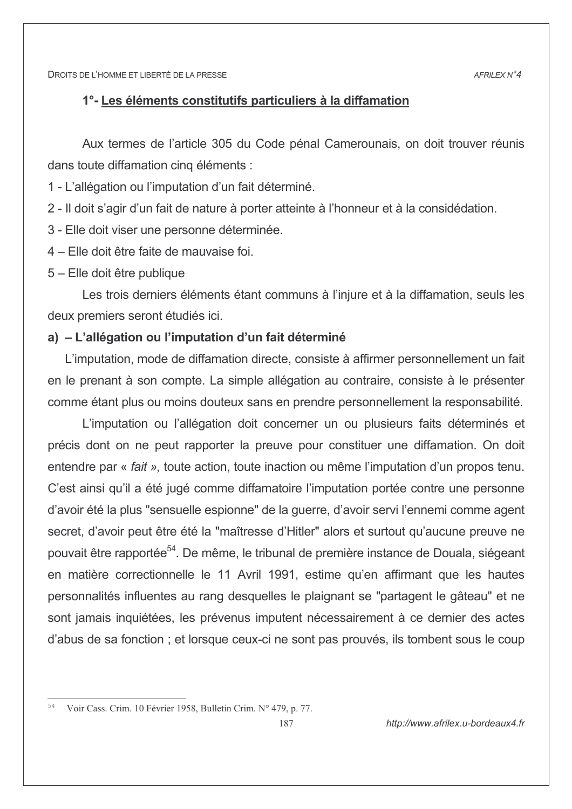# 1°- Les éléments constitutifs particuliers à la diffamation

Aux termes de l'article 305 du Code pénal Camerounais, on doit trouver réunis dans toute diffamation cing éléments :

1 - L'allégation ou l'imputation d'un fait déterminé.

2 - Il doit s'agir d'un fait de nature à porter atteinte à l'honneur et à la considédation.

- 3 Elle doit viser une personne déterminée.
- 4 Elle doit être faite de mauvaise foi.
- 5 Elle doit être publique

Les trois derniers éléments étant communs à l'injure et à la diffamation, seuls les deux premiers seront étudiés ici.

# a) - L'allégation ou l'imputation d'un fait déterminé

L'imputation, mode de diffamation directe, consiste à affirmer personnellement un fait en le prenant à son compte. La simple allégation au contraire, consiste à le présenter comme étant plus ou moins douteux sans en prendre personnellement la responsabilité.

L'imputation ou l'allégation doit concerner un ou plusieurs faits déterminés et précis dont on ne peut rapporter la preuve pour constituer une diffamation. On doit entendre par « fait », toute action, toute inaction ou même l'imputation d'un propos tenu. C'est ainsi qu'il a été jugé comme diffamatoire l'imputation portée contre une personne d'avoir été la plus "sensuelle espionne" de la querre, d'avoir servi l'ennemi comme agent secret, d'avoir peut être été la "maîtresse d'Hitler" alors et surtout qu'aucune preuve ne pouvait être rapportée<sup>54</sup>. De même, le tribunal de première instance de Douala, siégeant en matière correctionnelle le 11 Avril 1991, estime qu'en affirmant que les hautes personnalités influentes au rang desquelles le plaignant se "partagent le gâteau" et ne sont jamais inquiétées, les prévenus imputent nécessairement à ce dernier des actes d'abus de sa fonction ; et lorsque ceux-ci ne sont pas prouvés, ils tombent sous le coup

<sup>&</sup>lt;sup>54</sup> Voir Cass. Crim. 10 Février 1958, Bulletin Crim. N° 479, p. 77.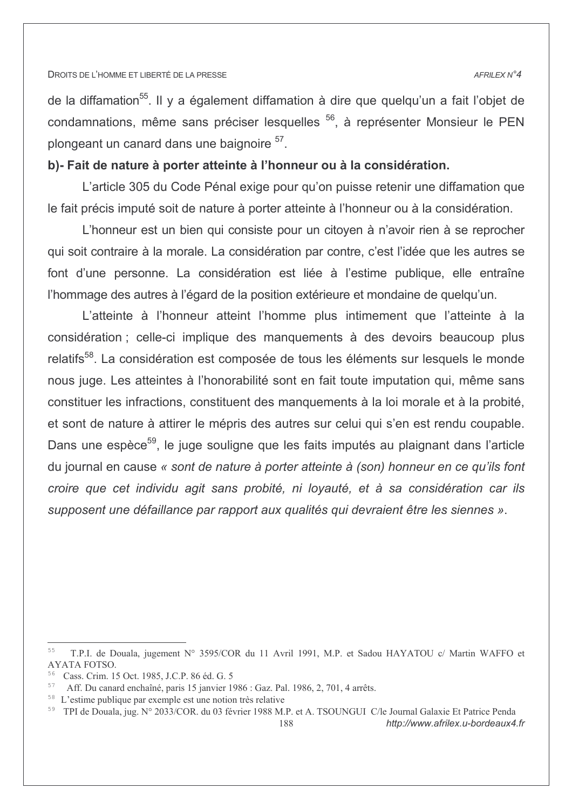#### AFRILEX N°4

de la diffamation<sup>55</sup>. Il y a également diffamation à dire que quelqu'un a fait l'objet de condamnations, même sans préciser lesquelles <sup>56</sup>, à représenter Monsieur le PEN plongeant un canard dans une baignoire <sup>57</sup>.

# b)- Fait de nature à porter atteinte à l'honneur ou à la considération.

L'article 305 du Code Pénal exige pour qu'on puisse retenir une diffamation que le fait précis imputé soit de nature à porter atteinte à l'honneur ou à la considération.

L'honneur est un bien qui consiste pour un citoyen à n'avoir rien à se reprocher qui soit contraire à la morale. La considération par contre, c'est l'idée que les autres se font d'une personne. La considération est liée à l'estime publique, elle entraîne l'hommage des autres à l'égard de la position extérieure et mondaine de quelqu'un.

L'atteinte à l'honneur atteint l'homme plus intimement que l'atteinte à la considération ; celle-ci implique des manquements à des devoirs beaucoup plus relatifs<sup>58</sup>. La considération est composée de tous les éléments sur lesquels le monde nous juge. Les atteintes à l'honorabilité sont en fait toute imputation qui, même sans constituer les infractions, constituent des manquements à la loi morale et à la probité, et sont de nature à attirer le mépris des autres sur celui qui s'en est rendu coupable. Dans une espèce<sup>59</sup>, le juge souligne que les faits imputés au plaignant dans l'article du journal en cause « sont de nature à porter atteinte à (son) honneur en ce qu'ils font croire que cet individu agit sans probité, ni loyauté, et à sa considération car ils supposent une défaillance par rapport aux qualités qui devraient être les siennes ».

<sup>55</sup> T.P.I. de Douala, jugement N° 3595/COR du 11 Avril 1991, M.P. et Sadou HAYATOU c/ Martin WAFFO et AYATA FOTSO.

<sup>&</sup>lt;sup>56</sup> Cass. Crim. 15 Oct. 1985, J.C.P. 86 éd. G. 5

<sup>57</sup> Aff. Du canard enchaîné, paris 15 janvier 1986 : Gaz. Pal. 1986, 2, 701, 4 arrêts.

<sup>&</sup>lt;sup>58</sup> L'estime publique par exemple est une notion très relative

<sup>&</sup>lt;sup>59</sup> TPI de Douala, jug. N° 2033/COR, du 03 février 1988 M.P. et A. TSOUNGUI C/le Journal Galaxie Et Patrice Penda http://www.afrilex.u-bordeaux4.fr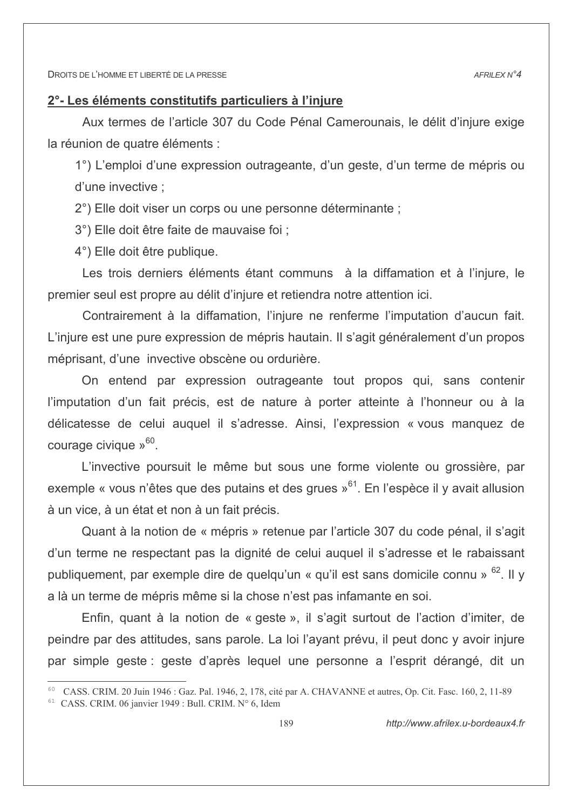# 2° - Les éléments constitutifs particuliers à l'iniure

Aux termes de l'article 307 du Code Pénal Camerounais, le délit d'iniure exige la réunion de quatre éléments :

1°) L'emploi d'une expression outrageante, d'un geste, d'un terme de mépris ou d'une invective :

2°) Elle doit viser un corps ou une personne déterminante ;

3°) Elle doit être faite de mauvaise foi :

4°) Elle doit être publique.

Les trois derniers éléments étant communs à la diffamation et à l'injure, le premier seul est propre au délit d'injure et retiendra notre attention ici.

Contrairement à la diffamation, l'injure ne renferme l'imputation d'aucun fait. L'injure est une pure expression de mépris hautain. Il s'agit généralement d'un propos méprisant, d'une invective obscène ou ordurière.

On entend par expression outrageante tout propos qui, sans contenir l'imputation d'un fait précis, est de nature à porter atteinte à l'honneur ou à la délicatesse de celui auguel il s'adresse. Ainsi, l'expression « vous manquez de courage civique  $v^{60}$ .

L'invective poursuit le même but sous une forme violente ou grossière, par exemple « vous n'êtes que des putains et des grues »<sup>61</sup>. En l'espèce il y avait allusion à un vice, à un état et non à un fait précis.

Quant à la notion de « mépris » retenue par l'article 307 du code pénal, il s'agit d'un terme ne respectant pas la dignité de celui auguel il s'adresse et le rabaissant publiquement, par exemple dire de quelqu'un « qu'il est sans domicile connu » <sup>62</sup>. Il y a là un terme de mépris même si la chose n'est pas infamante en soi.

Enfin, quant à la notion de « geste », il s'agit surtout de l'action d'imiter, de peindre par des attitudes, sans parole. La loi l'ayant prévu, il peut donc y avoir injure par simple geste : geste d'après lequel une personne a l'esprit dérangé, dit un

<sup>&</sup>lt;sup>60</sup> CASS, CRIM, 20 Juin 1946 : Gaz, Pal, 1946, 2, 178, cité par A, CHAVANNE et autres, Op. Cit. Fasc, 160, 2, 11-89

<sup>&</sup>lt;sup>61</sup> CASS. CRIM. 06 janvier 1949 : Bull. CRIM. N° 6, Idem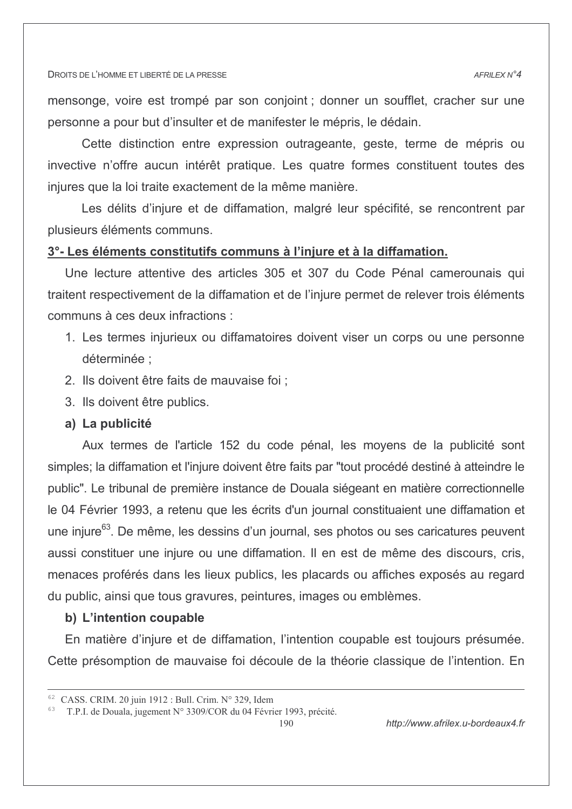mensonge, voire est trompé par son conjoint ; donner un soufflet, cracher sur une personne a pour but d'insulter et de manifester le mépris. le dédain.

Cette distinction entre expression outrageante, geste, terme de mépris ou invective n'offre aucun intérêt pratique. Les quatre formes constituent toutes des injures que la loi traite exactement de la même manière.

Les délits d'injure et de diffamation, malgré leur spécifité, se rencontrent par plusieurs éléments communs.

# 3°- Les éléments constitutifs communs à l'injure et à la diffamation.

Une lecture attentive des articles 305 et 307 du Code Pénal camerounais qui traitent respectivement de la diffamation et de l'injure permet de relever trois éléments communs à ces deux infractions :

- 1. Les termes injurieux ou diffamatoires doivent viser un corps ou une personne déterminée :
- 2. Ils doivent être faits de mauvaise foi :
- 3. Ils doivent être publics.

### a) La publicité

Aux termes de l'article 152 du code pénal, les moyens de la publicité sont simples; la diffamation et l'injure doivent être faits par "tout procédé destiné à atteindre le public". Le tribunal de première instance de Douala siégeant en matière correctionnelle le 04 Février 1993, a retenu que les écrits d'un journal constituaient une diffamation et une injure<sup>63</sup>. De même, les dessins d'un journal, ses photos ou ses caricatures peuvent aussi constituer une injure ou une diffamation. Il en est de même des discours, cris, menaces proférés dans les lieux publics, les placards ou affiches exposés au regard du public, ainsi que tous gravures, peintures, images ou emblèmes.

# b) L'intention coupable

En matière d'injure et de diffamation, l'intention coupable est toujours présumée. Cette présomption de mauvaise foi découle de la théorie classique de l'intention. En

 $190$ 

 $62$  CASS, CRIM, 20 juin 1912 ; Bull, Crim, N° 329, Idem

<sup>&</sup>lt;sup>63</sup> T.P.I. de Douala, jugement N° 3309/COR du 04 Février 1993, précité.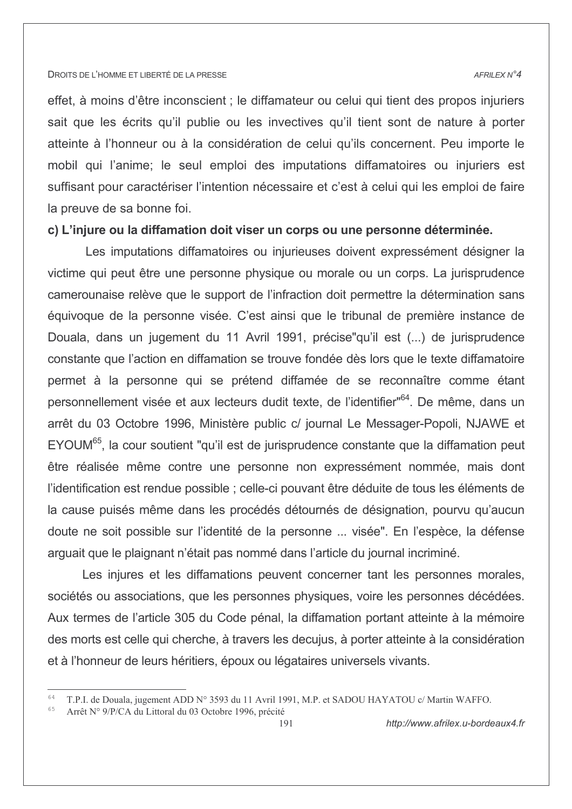#### AFRILEX N°4

effet, à moins d'être inconscient ; le diffamateur ou celui qui tient des propos injuriers sait que les écrits qu'il publie ou les invectives qu'il tient sont de nature à porter atteinte à l'honneur ou à la considération de celui qu'ils concernent. Peu importe le mobil qui l'anime; le seul emploi des imputations diffamatoires ou injuriers est suffisant pour caractériser l'intention nécessaire et c'est à celui qui les emploi de faire la preuve de sa bonne foi.

## c) L'injure ou la diffamation doit viser un corps ou une personne déterminée.

Les imputations diffamatoires ou injurieuses doivent expressément désigner la victime qui peut être une personne physique ou morale ou un corps. La jurisprudence camerounaise relève que le support de l'infraction doit permettre la détermination sans équivoque de la personne visée. C'est ainsi que le tribunal de première instance de Douala, dans un jugement du 11 Avril 1991, précise qu'il est (...) de jurisprudence constante que l'action en diffamation se trouve fondée dès lors que le texte diffamatoire permet à la personne qui se prétend diffamée de se reconnaître comme étant personnellement visée et aux lecteurs dudit texte, de l'identifier"<sup>64</sup>. De même, dans un arrêt du 03 Octobre 1996, Ministère public c/ journal Le Messager-Popoli, NJAWE et EYOUM<sup>65</sup>, la cour soutient "qu'il est de jurisprudence constante que la diffamation peut être réalisée même contre une personne non expressément nommée, mais dont l'identification est rendue possible ; celle-ci pouvant être déduite de tous les éléments de la cause puisés même dans les procédés détournés de désignation, pourvu qu'aucun doute ne soit possible sur l'identité de la personne ... visée". En l'espèce, la défense arquait que le plaignant n'était pas nommé dans l'article du journal incriminé.

Les injures et les diffamations peuvent concerner tant les personnes morales, sociétés ou associations, que les personnes physiques, voire les personnes décédées. Aux termes de l'article 305 du Code pénal, la diffamation portant atteinte à la mémoire des morts est celle qui cherche, à travers les decujus, à porter atteinte à la considération et à l'honneur de leurs héritiers, époux ou légataires universels vivants.

<sup>&</sup>lt;sup>64</sup> T.P.I. de Douala, jugement ADD N° 3593 du 11 Avril 1991, M.P. et SADOU HAYATOU c/ Martin WAFFO.

Arrêt N° 9/P/CA du Littoral du 03 Octobre 1996, précité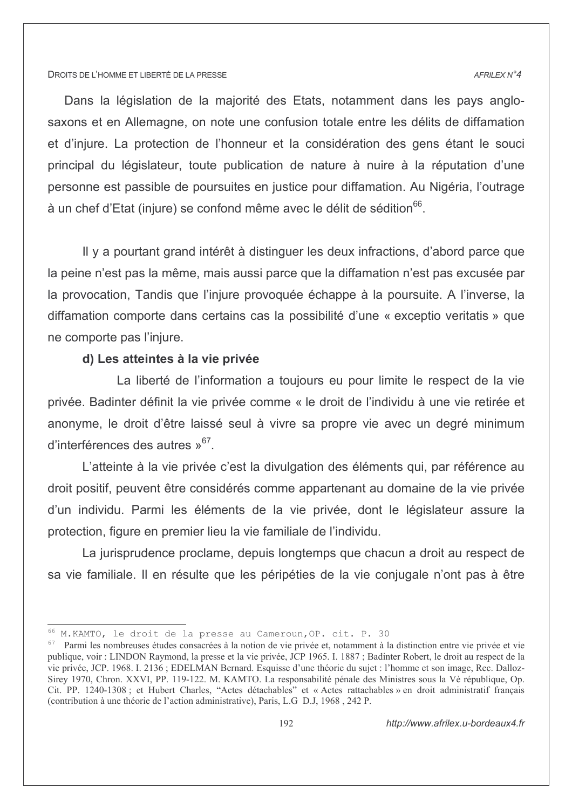#### AFRILEX N°4

Dans la législation de la majorité des Etats, notamment dans les pays anglosaxons et en Allemagne, on note une confusion totale entre les délits de diffamation et d'iniure. La protection de l'honneur et la considération des gens étant le souci principal du législateur, toute publication de nature à nuire à la réputation d'une personne est passible de poursuites en justice pour diffamation. Au Nigéria, l'outrage à un chef d'Etat (injure) se confond même avec le délit de sédition<sup>66</sup>.

Il y a pourtant grand intérêt à distinguer les deux infractions, d'abord parce que la peine n'est pas la même, mais aussi parce que la diffamation n'est pas excusée par la provocation, Tandis que l'injure provoquée échappe à la poursuite. A l'inverse, la diffamation comporte dans certains cas la possibilité d'une « exceptio veritatis » que ne comporte pas l'injure.

### d) Les atteintes à la vie privée

La liberté de l'information a toujours eu pour limite le respect de la vie privée. Badinter définit la vie privée comme « le droit de l'individu à une vie retirée et anonyme, le droit d'être laissé seul à vivre sa propre vie avec un degré minimum d'interférences des autres »<sup>67</sup>.

L'atteinte à la vie privée c'est la divulgation des éléments qui, par référence au droit positif, peuvent être considérés comme appartenant au domaine de la vie privée d'un individu. Parmi les éléments de la vie privée, dont le législateur assure la protection, figure en premier lieu la vie familiale de l'individu.

La jurisprudence proclame, depuis longtemps que chacun a droit au respect de sa vie familiale. Il en résulte que les péripéties de la vie conjugale n'ont pas à être

<sup>&</sup>lt;sup>66</sup> M. KAMTO, le droit de la presse au Cameroun, OP. cit. P. 30

 $67$  Parmi les nombreuses études consacrées à la notion de vie privée et, notamment à la distinction entre vie privée et vie publique, voir : LINDON Raymond, la presse et la vie privée, JCP 1965. I. 1887 ; Badinter Robert, le droit au respect de la vie privée, JCP. 1968. I. 2136; EDELMAN Bernard. Esquisse d'une théorie du sujet : l'homme et son image, Rec. Dalloz-Sirey 1970, Chron. XXVI, PP. 119-122. M. KAMTO. La responsabilité pénale des Ministres sous la Vè république. Op. Cit. PP. 1240-1308; et Hubert Charles, "Actes détachables" et « Actes rattachables » en droit administratif francais (contribution à une théorie de l'action administrative), Paris, L.G D.J, 1968, 242 P.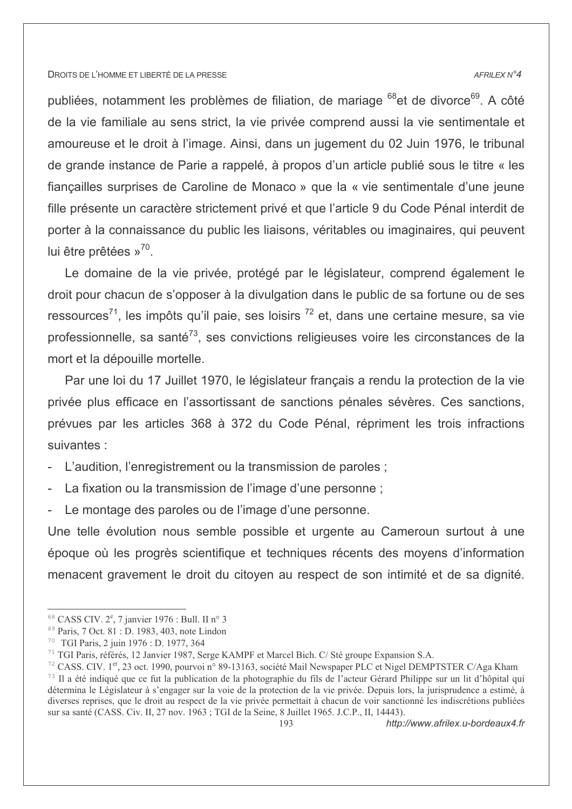#### AFRILEX N°4

publiées, notamment les problèmes de filiation, de mariage <sup>68</sup> et de divorce<sup>69</sup>. A côté de la vie familiale au sens strict, la vie privée comprend aussi la vie sentimentale et amoureuse et le droit à l'image. Ainsi, dans un jugement du 02 Juin 1976, le tribunal de grande instance de Parie a rappelé, à propos d'un article publié sous le titre « les fiançailles surprises de Caroline de Monaco » que la « vie sentimentale d'une jeune fille présente un caractère strictement privé et que l'article 9 du Code Pénal interdit de porter à la connaissance du public les liaisons, véritables ou imaginaires, qui peuvent lui être prêtées  $v^{70}$ .

Le domaine de la vie privée, protégé par le législateur, comprend également le droit pour chacun de s'opposer à la divulgation dans le public de sa fortune ou de ses ressources<sup>71</sup>, les impôts qu'il paie, ses loisirs <sup>72</sup> et, dans une certaine mesure, sa vie professionnelle, sa santé<sup>73</sup>, ses convictions religieuses voire les circonstances de la mort et la dépouille mortelle.

Par une loi du 17 Juillet 1970, le législateur français a rendu la protection de la vie privée plus efficace en l'assortissant de sanctions pénales sévères. Ces sanctions, prévues par les articles 368 à 372 du Code Pénal, répriment les trois infractions suivantes :

- L'audition, l'enregistrement ou la transmission de paroles;
- La fixation ou la transmission de l'image d'une personne :
- Le montage des paroles ou de l'image d'une personne.

Une telle évolution nous semble possible et urgente au Cameroun surtout à une époque où les progrès scientifique et techniques récents des moyens d'information menacent gravement le droit du citoyen au respect de son intimité et de sa dignité.

http://www.afrilex.u-bordeaux4.fr

 $68$  CASS CIV.  $2^e$ , 7 janvier 1976 : Bull. II n° 3

<sup>&</sup>lt;sup>69</sup> Paris, 7 Oct. 81 : D. 1983, 403, note Lindon

<sup>&</sup>lt;sup>70</sup> TGI Paris, 2 juin 1976 : D. 1977, 364

<sup>&</sup>lt;sup>71</sup> TGI Paris, référés, 12 Janvier 1987, Serge KAMPF et Marcel Bich. C/ Sté groupe Expansion S.A.

<sup>&</sup>lt;sup>72</sup> CASS. CIV. 1<sup>er</sup>, 23 oct. 1990, pourvoi n° 89-13163, société Mail Newspaper PLC et Nigel DEMPTSTER C/Aga Kham 73 Il a été indiqué que ce fut la publication de la photographie du fils de l'acteur Gérard Philippe sur un lit d'hôpital qui détermina le Législateur à s'engager sur la voie de la protection de la vie privée. Depuis lors, la jurisprudence a estimé, à diverses reprises, que le droit au respect de la vie privée permettait à chacun de voir sanctionné les indiscrétions publiées sur sa santé (CASS. Civ. II, 27 nov. 1963 ; TGI de la Seine, 8 Juillet 1965. J.C.P., II, 14443).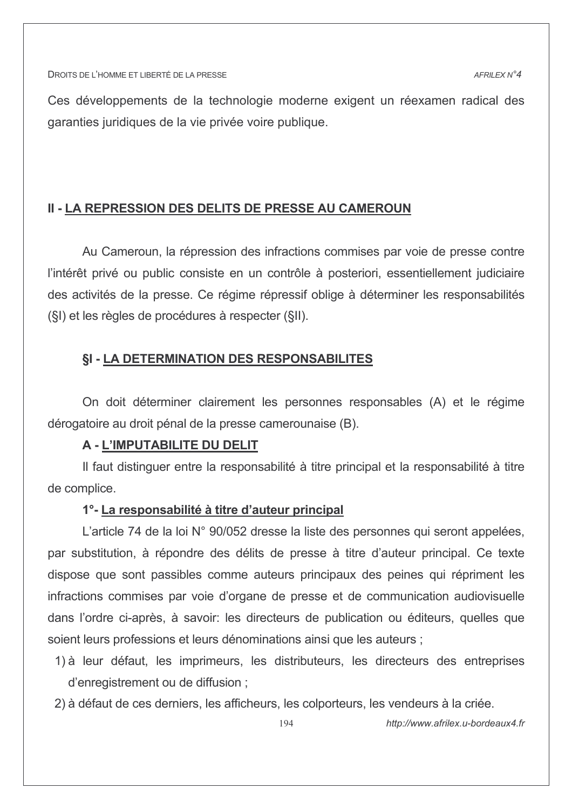Ces développements de la technologie moderne exigent un réexamen radical des garanties juridiques de la vie privée voire publique.

# **II - LA REPRESSION DES DELITS DE PRESSE AU CAMEROUN**

Au Cameroun, la répression des infractions commises par voie de presse contre l'intérêt privé ou public consiste en un contrôle à posteriori, essentiellement judiciaire des activités de la presse. Ce régime répressif oblige à déterminer les responsabilités (§I) et les règles de procédures à respecter (§II).

# **§I - LA DETERMINATION DES RESPONSABILITES**

On doit déterminer clairement les personnes responsables (A) et le régime dérogatoire au droit pénal de la presse camerounaise (B).

# A - L'IMPUTABILITE DU DELIT

Il faut distinguer entre la responsabilité à titre principal et la responsabilité à titre de complice.

## 1°-La responsabilité à titre d'auteur principal

L'article 74 de la loi N° 90/052 dresse la liste des personnes qui seront appelées, par substitution, à répondre des délits de presse à titre d'auteur principal. Ce texte dispose que sont passibles comme auteurs principaux des peines qui répriment les infractions commises par voie d'organe de presse et de communication audiovisuelle dans l'ordre ci-après, à savoir: les directeurs de publication ou éditeurs, quelles que soient leurs professions et leurs dénominations ainsi que les auteurs :

- 1) à leur défaut, les imprimeurs, les distributeurs, les directeurs des entreprises d'enregistrement ou de diffusion;
- 2) à défaut de ces derniers, les afficheurs, les colporteurs, les vendeurs à la criée.

http://www.afrilex.u-bordeaux4.fr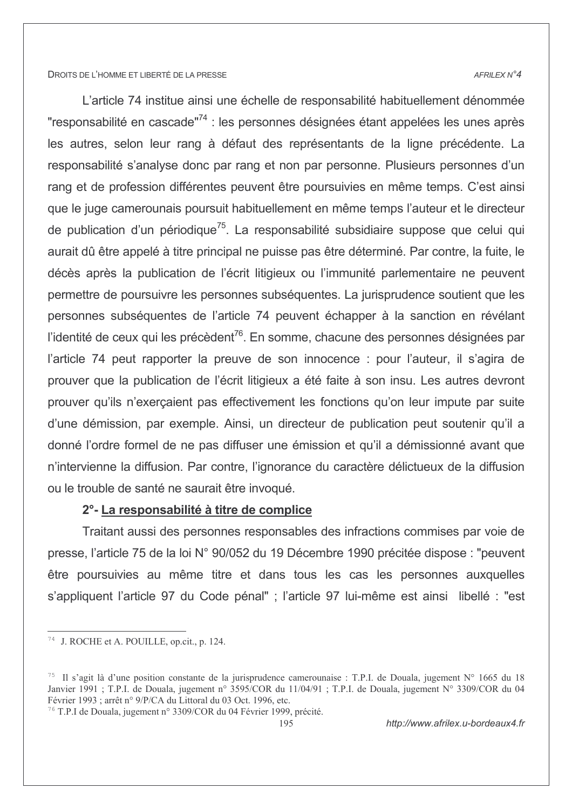#### AFRILEX N°4

L'article 74 institue ainsi une échelle de responsabilité habituellement dénommée "responsabilité en cascade"<sup>74</sup> : les personnes désignées étant appelées les unes après les autres, selon leur rang à défaut des représentants de la ligne précédente. La responsabilité s'analyse donc par rang et non par personne. Plusieurs personnes d'un rang et de profession différentes peuvent être poursuivies en même temps. C'est ainsi que le juge camerounais poursuit habituellement en même temps l'auteur et le directeur de publication d'un périodique<sup>75</sup>. La responsabilité subsidiaire suppose que celui qui aurait dû être appelé à titre principal ne puisse pas être déterminé. Par contre, la fuite, le décès après la publication de l'écrit litigieux ou l'immunité parlementaire ne peuvent permettre de poursuivre les personnes subséquentes. La jurisprudence soutient que les personnes subséquentes de l'article 74 peuvent échapper à la sanction en révélant l'identité de ceux qui les précèdent<sup>76</sup>. En somme, chacune des personnes désignées par l'article 74 peut rapporter la preuve de son innocence : pour l'auteur, il s'agira de prouver que la publication de l'écrit litigieux a été faite à son insu. Les autres devront prouver qu'ils n'exerçaient pas effectivement les fonctions qu'on leur impute par suite d'une démission, par exemple. Ainsi, un directeur de publication peut soutenir qu'il a donné l'ordre formel de ne pas diffuser une émission et qu'il a démissionné avant que n'intervienne la diffusion. Par contre, l'ignorance du caractère délictueux de la diffusion ou le trouble de santé ne saurait être invoqué.

# 2° - La responsabilité à titre de complice

Traitant aussi des personnes responsables des infractions commises par voie de presse, l'article 75 de la loi N° 90/052 du 19 Décembre 1990 précitée dispose : "peuvent être poursuivies au même titre et dans tous les cas les personnes auxquelles s'appliquent l'article 97 du Code pénal" ; l'article 97 lui-même est ainsi libellé : "est

<sup>76</sup> T.P.I de Douala, jugement n° 3309/COR du 04 Février 1999, précité.

<sup>&</sup>lt;sup>74</sup> J. ROCHE et A. POUILLE, op.cit., p. 124.

<sup>&</sup>lt;sup>75</sup> Il s'agit là d'une position constante de la jurisprudence camerounaise : T.P.I. de Douala, jugement  $N^{\circ}$  1665 du 18 Janvier 1991; T.P.I. de Douala, jugement n° 3595/COR du 11/04/91; T.P.I. de Douala, jugement N° 3309/COR du 04 Février 1993 ; arrêt n° 9/P/CA du Littoral du 03 Oct. 1996, etc.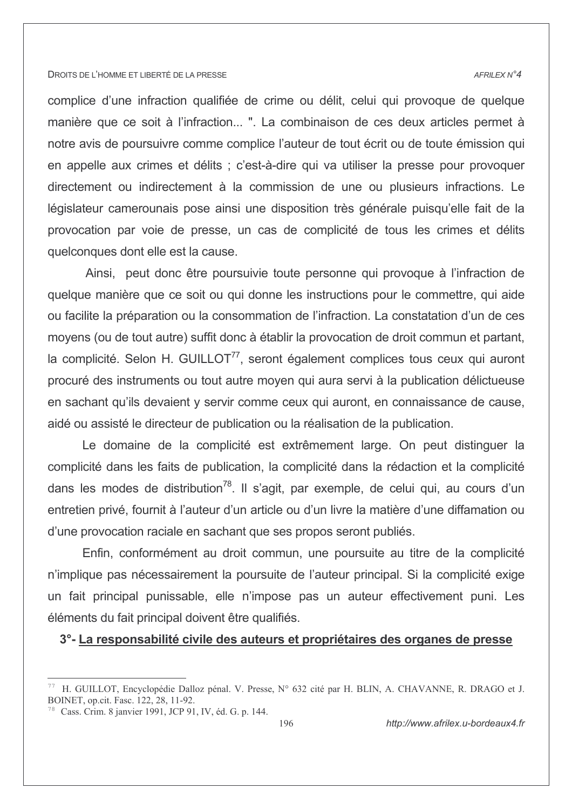#### AFRILEX N°4

complice d'une infraction qualifiée de crime ou délit, celui qui provoque de quelque manière que ce soit à l'infraction... ". La combinaison de ces deux articles permet à notre avis de poursuivre comme complice l'auteur de tout écrit ou de toute émission qui en appelle aux crimes et délits : c'est-à-dire qui va utiliser la presse pour provoquer directement ou indirectement à la commission de une ou plusieurs infractions. Le législateur camerounais pose ainsi une disposition très générale puisqu'elle fait de la provocation par voie de presse, un cas de complicité de tous les crimes et délits quelconques dont elle est la cause.

Ainsi, peut donc être poursuivie toute personne qui provoque à l'infraction de quelque manière que ce soit ou qui donne les instructions pour le commettre, qui aide ou facilite la préparation ou la consommation de l'infraction. La constatation d'un de ces moyens (ou de tout autre) suffit donc à établir la provocation de droit commun et partant, la complicité. Selon H. GUILLOT<sup>77</sup>, seront également complices tous ceux qui auront procuré des instruments ou tout autre moyen qui aura servi à la publication délictueuse en sachant qu'ils devaient y servir comme ceux qui auront, en connaissance de cause, aidé ou assisté le directeur de publication ou la réalisation de la publication.

Le domaine de la complicité est extrêmement large. On peut distinguer la complicité dans les faits de publication, la complicité dans la rédaction et la complicité dans les modes de distribution<sup>78</sup>. Il s'agit, par exemple, de celui qui, au cours d'un entretien privé, fournit à l'auteur d'un article ou d'un livre la matière d'une diffamation ou d'une provocation raciale en sachant que ses propos seront publiés.

Enfin, conformément au droit commun, une poursuite au titre de la complicité n'implique pas nécessairement la poursuite de l'auteur principal. Si la complicité exige un fait principal punissable, elle n'impose pas un auteur effectivement puni. Les éléments du fait principal doivent être qualifiés.

# 3°-La responsabilité civile des auteurs et propriétaires des organes de presse

H. GUILLOT, Encyclopédie Dalloz pénal. V. Presse, N° 632 cité par H. BLIN, A. CHAVANNE, R. DRAGO et J. BOINET, op.cit. Fasc. 122, 28, 11-92.

<sup>&</sup>lt;sup>78</sup> Cass, Crim. 8 janvier 1991, JCP 91, IV, éd. G. p. 144.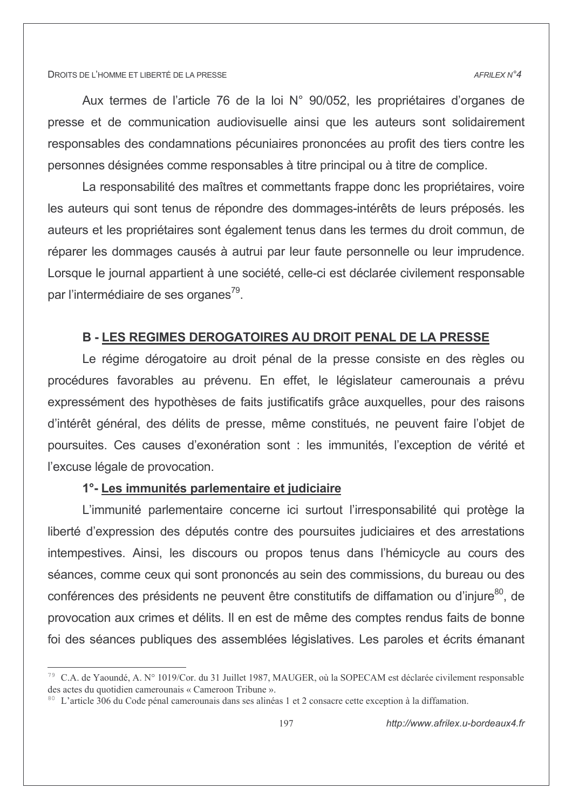#### AFRILEX N°4

Aux termes de l'article 76 de la loi N° 90/052, les propriétaires d'organes de presse et de communication audiovisuelle ainsi que les auteurs sont solidairement responsables des condamnations pécuniaires prononcées au profit des tiers contre les personnes désignées comme responsables à titre principal ou à titre de complice.

La responsabilité des maîtres et commettants frappe donc les propriétaires, voire les auteurs qui sont tenus de répondre des dommages-intérêts de leurs préposés. les auteurs et les propriétaires sont également tenus dans les termes du droit commun, de réparer les dommages causés à autrui par leur faute personnelle ou leur imprudence. Lorsque le journal appartient à une société, celle-ci est déclarée civilement responsable par l'intermédiaire de ses organes<sup>79</sup>.

# **B-LES REGIMES DEROGATOIRES AU DROIT PENAL DE LA PRESSE**

Le régime dérogatoire au droit pénal de la presse consiste en des règles ou procédures favorables au prévenu. En effet, le législateur camerounais a prévu expressément des hypothèses de faits justificatifs grâce auxquelles, pour des raisons d'intérêt général, des délits de presse, même constitués, ne peuvent faire l'objet de poursuites. Ces causes d'exonération sont : les immunités, l'exception de vérité et l'excuse légale de provocation.

# 1°- Les immunités parlementaire et judiciaire

L'immunité parlementaire concerne ici surtout l'irresponsabilité qui protège la liberté d'expression des députés contre des poursuites judiciaires et des arrestations intempestives. Ainsi, les discours ou propos tenus dans l'hémicycle au cours des séances, comme ceux qui sont prononcés au sein des commissions, du bureau ou des conférences des présidents ne peuvent être constitutifs de diffamation ou d'injure<sup>80</sup>, de provocation aux crimes et délits. Il en est de même des comptes rendus faits de bonne foi des séances publiques des assemblées législatives. Les paroles et écrits émanant

<sup>79</sup> C.A. de Yaoundé, A. N° 1019/Cor. du 31 Juillet 1987, MAUGER, où la SOPECAM est déclarée civilement responsable des actes du quotidien camerounais « Cameroon Tribune ».

<sup>&</sup>lt;sup>80</sup> L'article 306 du Code pénal camerounais dans ses alinéas 1 et 2 consacre cette exception à la diffamation.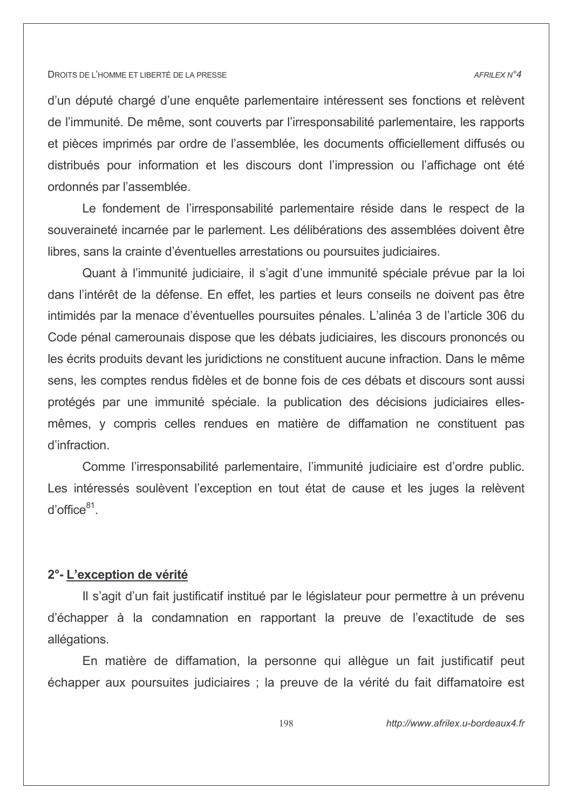#### $AFRII$   $FXN^24$

d'un député chargé d'une enquête parlementaire intéressent ses fonctions et relèvent de l'immunité. De même, sont couverts par l'irresponsabilité parlementaire, les rapports et pièces imprimés par ordre de l'assemblée, les documents officiellement diffusés ou distribués pour information et les discours dont l'impression ou l'affichage ont été ordonnés par l'assemblée.

Le fondement de l'irresponsabilité parlementaire réside dans le respect de la souveraineté incarnée par le parlement. Les délibérations des assemblées doivent être libres, sans la crainte d'éventuelles arrestations ou poursuites judiciaires.

Quant à l'immunité judiciaire, il s'agit d'une immunité spéciale prévue par la loi dans l'intérêt de la défense. En effet, les parties et leurs conseils ne doivent pas être intimidés par la menace d'éventuelles poursuites pénales. L'alinéa 3 de l'article 306 du Code pénal camerounais dispose que les débats judiciaires, les discours prononcés ou les écrits produits devant les juridictions ne constituent aucune infraction. Dans le même sens, les comptes rendus fidèles et de bonne fois de ces débats et discours sont aussi protégés par une immunité spéciale. la publication des décisions judiciaires ellesmêmes, y compris celles rendues en matière de diffamation ne constituent pas d'infraction.

Comme l'irresponsabilité parlementaire, l'immunité judiciaire est d'ordre public. Les intéressés soulèvent l'exception en tout état de cause et les juges la relèvent  $d'$ office $81$ .

### 2°-L'exception de vérité

Il s'agit d'un fait justificatif institué par le législateur pour permettre à un prévenu d'échapper à la condamnation en rapportant la preuve de l'exactitude de ses allégations.

En matière de diffamation, la personne qui allègue un fait justificatif peut échapper aux poursuites judiciaires ; la preuve de la vérité du fait diffamatoire est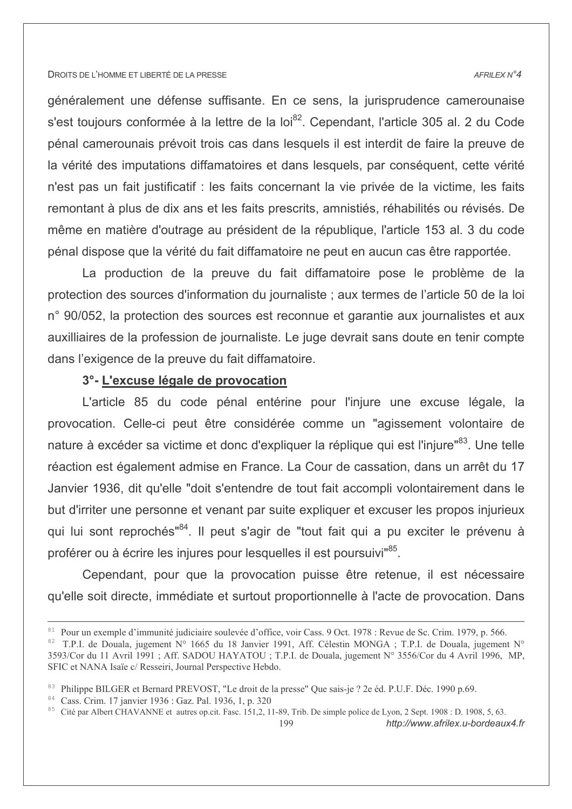# généralement une défense suffisante. En ce sens, la jurisprudence camerounaise s'est toujours conformée à la lettre de la loi<sup>82</sup>. Cependant, l'article 305 al. 2 du Code pénal camerounais prévoit trois cas dans lesquels il est interdit de faire la preuve de la vérité des imputations diffamatoires et dans lesquels, par conséquent, cette vérité n'est pas un fait justificatif : les faits concernant la vie privée de la victime, les faits remontant à plus de dix ans et les faits prescrits, amnistiés, réhabilités ou révisés. De même en matière d'outrage au président de la république, l'article 153 al. 3 du code pénal dispose que la vérité du fait diffamatoire ne peut en aucun cas être rapportée.

La production de la preuve du fait diffamatoire pose le problème de la protection des sources d'information du journaliste ; aux termes de l'article 50 de la loi n° 90/052, la protection des sources est reconnue et garantie aux journalistes et aux auxilliaires de la profession de journaliste. Le juge devrait sans doute en tenir compte dans l'exigence de la preuve du fait diffamatoire.

# 3°- L'excuse légale de provocation

L'article 85 du code pénal entérine pour l'injure une excuse légale, la provocation. Celle-ci peut être considérée comme un "agissement volontaire de nature à excéder sa victime et donc d'expliquer la réplique qui est l'injure"<sup>83</sup>. Une telle réaction est également admise en France. La Cour de cassation, dans un arrêt du 17 Janvier 1936, dit qu'elle "doit s'entendre de tout fait accompli volontairement dans le but d'irriter une personne et venant par suite expliquer et excuser les propos injurieux qui lui sont reprochés"<sup>84</sup>. Il peut s'agir de "tout fait qui a pu exciter le prévenu à proférer ou à écrire les injures pour lesquelles il est poursuivi<sup>85</sup>.

Cependant, pour que la provocation puisse être retenue, il est nécessaire qu'elle soit directe, immédiate et surtout proportionnelle à l'acte de provocation. Dans

http://www.afrilex.u-bordeaux4.fr

#### AFRILEX N°4

<sup>&</sup>lt;sup>81</sup> Pour un exemple d'immunité judiciaire soulevée d'office, voir Cass. 9 Oct. 1978 : Revue de Sc. Crim. 1979, p. 566.

<sup>&</sup>lt;sup>82</sup> T.P.I. de Douala, jugement N° 1665 du 18 Janvier 1991, Aff. Célestin MONGA ; T.P.I. de Douala, jugement N° 3593/Cor du 11 Avril 1991 ; Aff. SADOU HAYATOU ; T.P.I. de Douala, jugement N° 3556/Cor du 4 Avril 1996, MP, SFIC et NANA Isaïe c/ Resseiri, Journal Perspective Hebdo.

<sup>&</sup>lt;sup>83</sup> Philippe BILGER et Bernard PREVOST, "Le droit de la presse" Que sais-je ? 2e éd. P.U.F. Déc. 1990 p.69.

<sup>&</sup>lt;sup>84</sup> Cass. Crim. 17 janvier 1936 : Gaz. Pal. 1936, 1, p. 320

<sup>&</sup>lt;sup>85</sup> Cité par Albert CHAVANNE et autres op. cit. Fasc. 151,2, 11-89, Trib. De simple police de Lyon, 2 Sept. 1908 : D. 1908, 5, 63. 199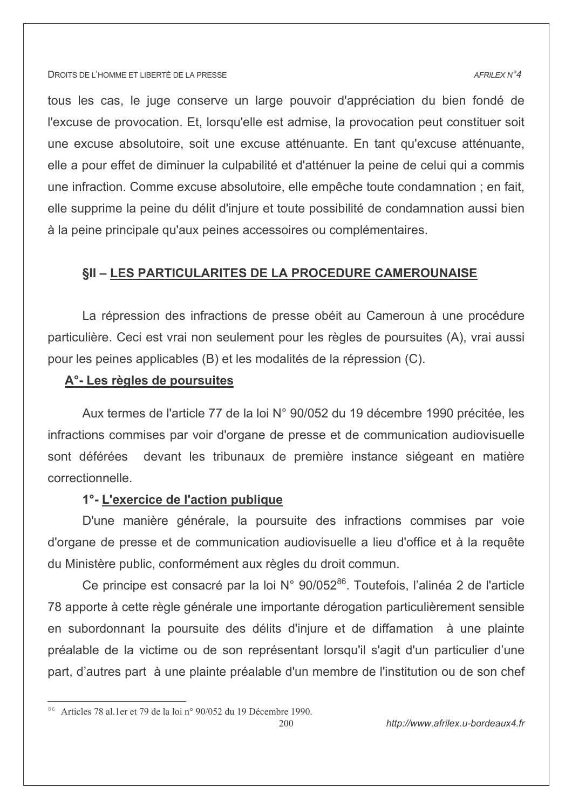#### AFRILEX N°4

tous les cas, le juge conserve un large pouvoir d'appréciation du bien fondé de l'excuse de provocation. Et, lorsqu'elle est admise, la provocation peut constituer soit une excuse absolutoire, soit une excuse atténuante. En tant qu'excuse atténuante, elle a pour effet de diminuer la culpabilité et d'atténuer la peine de celui qui a commis une infraction. Comme excuse absolutoire, elle empêche toute condamnation ; en fait, elle supprime la peine du délit d'injure et toute possibilité de condamnation aussi bien à la peine principale qu'aux peines accessoires ou complémentaires.

# **§II - LES PARTICULARITES DE LA PROCEDURE CAMEROUNAISE**

La répression des infractions de presse obéit au Cameroun à une procédure particulière. Ceci est vrai non seulement pour les règles de poursuites (A), vrai aussi pour les peines applicables (B) et les modalités de la répression (C).

### A<sup>o</sup>- Les règles de poursuites

Aux termes de l'article 77 de la loi N° 90/052 du 19 décembre 1990 précitée, les infractions commises par voir d'organe de presse et de communication audiovisuelle devant les tribunaux de première instance siégeant en matière sont déférées correctionnelle.

# 1°- L'exercice de l'action publique

D'une manière générale, la poursuite des infractions commises par voie d'organe de presse et de communication audiovisuelle a lieu d'office et à la requête du Ministère public, conformément aux règles du droit commun.

Ce principe est consacré par la loi N° 90/052<sup>86</sup>. Toutefois, l'alinéa 2 de l'article 78 apporte à cette règle générale une importante dérogation particulièrement sensible en subordonnant la poursuite des délits d'injure et de diffamation à une plainte préalable de la victime ou de son représentant lorsqu'il s'agit d'un particulier d'une part, d'autres part à une plainte préalable d'un membre de l'institution ou de son chef

<sup>&</sup>lt;sup>86</sup> Articles 78 al 1 er et 79 de la loi nº 90/052 du 19 Décembre 1990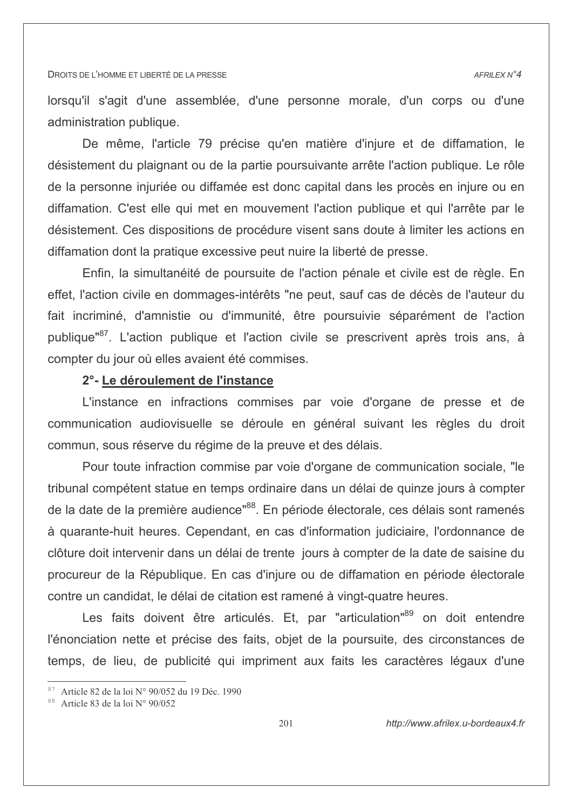lorsqu'il s'agit d'une assemblée, d'une personne morale, d'un corps ou d'une administration publique.

De même. l'article 79 précise qu'en matière d'iniure et de diffamation. le désistement du plaignant ou de la partie poursuivante arrête l'action publique. Le rôle de la personne injuriée ou diffamée est donc capital dans les procès en injure ou en diffamation. C'est elle qui met en mouvement l'action publique et qui l'arrête par le désistement. Ces dispositions de procédure visent sans doute à limiter les actions en diffamation dont la pratique excessive peut nuire la liberté de presse.

Enfin, la simultanéité de poursuite de l'action pénale et civile est de règle. En effet, l'action civile en dommages-intérêts "ne peut, sauf cas de décès de l'auteur du fait incriminé, d'amnistie ou d'immunité, être poursuivie séparément de l'action publique"<sup>87</sup>. L'action publique et l'action civile se prescrivent après trois ans, à compter du jour où elles avaient été commises.

### 2° - Le déroulement de l'instance

L'instance en infractions commises par voie d'organe de presse et de communication audiovisuelle se déroule en général suivant les règles du droit commun, sous réserve du régime de la preuve et des délais.

Pour toute infraction commise par voie d'organe de communication sociale, "le tribunal compétent statue en temps ordinaire dans un délai de quinze jours à compter de la date de la première audience"<sup>88</sup>. En période électorale, ces délais sont ramenés à quarante-huit heures. Cependant, en cas d'information judiciaire, l'ordonnance de clôture doit intervenir dans un délai de trente jours à compter de la date de saisine du procureur de la République. En cas d'injure ou de diffamation en période électorale contre un candidat, le délai de citation est ramené à vingt-quatre heures.

Les faits doivent être articulés. Et, par "articulation"<sup>89</sup> on doit entendre l'énonciation nette et précise des faits, objet de la poursuite, des circonstances de temps, de lieu, de publicité qui impriment aux faits les caractères légaux d'une

<sup>&</sup>lt;sup>87</sup> Article 82 de la loi N° 90/052 du 19 Déc. 1990

 $88$  Article 83 de la loi N° 90/052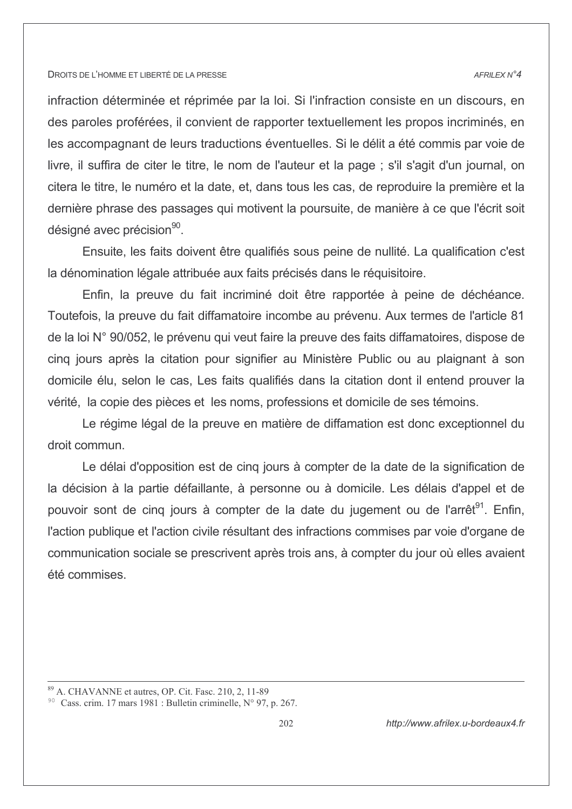#### AFRILEX N°4

infraction déterminée et réprimée par la loi. Si l'infraction consiste en un discours, en des paroles proférées, il convient de rapporter textuellement les propos incriminés, en les accompagnant de leurs traductions éventuelles. Si le délit a été commis par voie de livre, il suffira de citer le titre, le nom de l'auteur et la page : s'il s'agit d'un journal, on citera le titre, le numéro et la date, et, dans tous les cas, de reproduire la première et la dernière phrase des passages qui motivent la poursuite, de manière à ce que l'écrit soit désigné avec précision<sup>90</sup>.

Ensuite, les faits doivent être qualifiés sous peine de nullité. La qualification c'est la dénomination légale attribuée aux faits précisés dans le réquisitoire.

Enfin, la preuve du fait incriminé doit être rapportée à peine de déchéance. Toutefois, la preuve du fait diffamatoire incombe au prévenu. Aux termes de l'article 81 de la loi N° 90/052, le prévenu qui veut faire la preuve des faits diffamatoires, dispose de cing jours après la citation pour signifier au Ministère Public ou au plaignant à son domicile élu, selon le cas, Les faits qualifiés dans la citation dont il entend prouver la vérité, la copie des pièces et les noms, professions et domicile de ses témoins.

Le régime légal de la preuve en matière de diffamation est donc exceptionnel du droit commun.

Le délai d'opposition est de cinq jours à compter de la date de la signification de la décision à la partie défaillante, à personne ou à domicile. Les délais d'appel et de pouvoir sont de cing jours à compter de la date du jugement ou de l'arrêt<sup>91</sup>. Enfin, l'action publique et l'action civile résultant des infractions commises par voie d'organe de communication sociale se prescrivent après trois ans, à compter du jour où elles avaient été commises.

<sup>&</sup>lt;sup>89</sup> A. CHAVANNE et autres, OP. Cit. Fasc. 210, 2, 11-89

<sup>&</sup>lt;sup>90</sup> Cass. crim. 17 mars 1981 : Bulletin criminelle. N° 97, p. 267.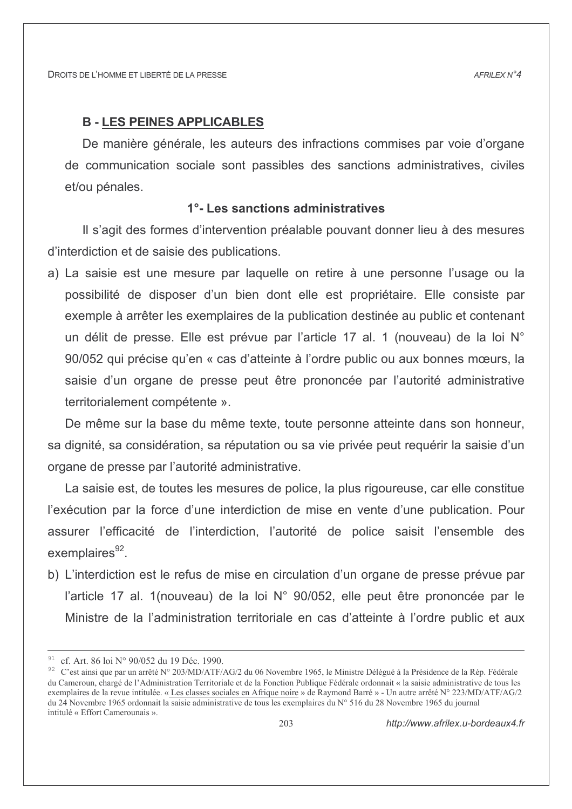# **B - LES PEINES APPLICABLES**

De manière générale, les auteurs des infractions commises par voie d'organe de communication sociale sont passibles des sanctions administratives, civiles et/ou pénales.

# 1°-Les sanctions administratives

Il s'agit des formes d'intervention préalable pouvant donner lieu à des mesures d'interdiction et de saisie des publications.

a) La saisie est une mesure par laquelle on retire à une personne l'usage ou la possibilité de disposer d'un bien dont elle est propriétaire. Elle consiste par exemple à arrêter les exemplaires de la publication destinée au public et contenant un délit de presse. Elle est prévue par l'article 17 al. 1 (nouveau) de la loi N° 90/052 qui précise qu'en « cas d'atteinte à l'ordre public ou aux bonnes mœurs, la saisie d'un organe de presse peut être prononcée par l'autorité administrative territorialement compétente ».

De même sur la base du même texte, toute personne atteinte dans son honneur, sa dignité, sa considération, sa réputation ou sa vie privée peut requérir la saisie d'un organe de presse par l'autorité administrative.

La saisie est, de toutes les mesures de police, la plus rigoureuse, car elle constitue l'exécution par la force d'une interdiction de mise en vente d'une publication. Pour assurer l'efficacité de l'interdiction, l'autorité de police saisit l'ensemble des exemplaires<sup>92</sup>.

b) L'interdiction est le refus de mise en circulation d'un organe de presse prévue par l'article 17 al. 1(nouveau) de la loi N° 90/052, elle peut être prononcée par le Ministre de la l'administration territoriale en cas d'atteinte à l'ordre public et aux

<sup>&</sup>lt;sup>91</sup> cf. Art. 86 loi N° 90/052 du 19 Déc. 1990.

<sup>&</sup>lt;sup>92</sup> C'est ainsi que par un arrêté N° 203/MD/ATF/AG/2 du 06 Novembre 1965, le Ministre Délégué à la Présidence de la Rép. Fédérale du Cameroun, chargé de l'Administration Territoriale et de la Fonction Publique Fédérale ordonnait « la saisie administrative de tous les exemplaires de la revue intitulée. « Les classes sociales en Afrique noire » de Raymond Barré » - Un autre arrêté N° 223/MD/ATF/AG/2 du 24 Novembre 1965 ordonnait la saisie administrative de tous les exemplaires du N° 516 du 28 Novembre 1965 du journal intitulé « Effort Camerounais »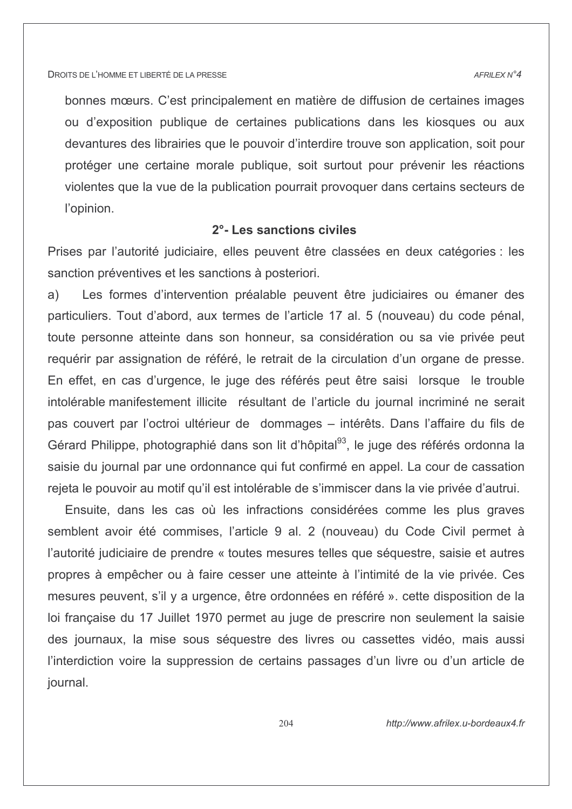$AFRII$   $FXN^24$ 

bonnes mœurs. C'est principalement en matière de diffusion de certaines images ou d'exposition publique de certaines publications dans les kiosques ou aux devantures des librairies que le pouvoir d'interdire trouve son application, soit pour protéger une certaine morale publique, soit surtout pour prévenir les réactions violentes que la vue de la publication pourrait provoquer dans certains secteurs de l'opinion.

# 2<sup>°</sup>- Les sanctions civiles

Prises par l'autorité judiciaire, elles peuvent être classées en deux catégories : les sanction préventives et les sanctions à posteriori.

Les formes d'intervention préalable peuvent être judiciaires ou émaner des a) particuliers. Tout d'abord, aux termes de l'article 17 al. 5 (nouveau) du code pénal, toute personne atteinte dans son honneur, sa considération ou sa vie privée peut requérir par assignation de référé, le retrait de la circulation d'un organe de presse. En effet, en cas d'urgence, le juge des référés peut être saisi lorsque le trouble intolérable manifestement illicite résultant de l'article du journal incriminé ne serait pas couvert par l'octroi ultérieur de dommages – intérêts. Dans l'affaire du fils de Gérard Philippe, photographié dans son lit d'hôpital<sup>93</sup>, le juge des référés ordonna la saisie du journal par une ordonnance qui fut confirmé en appel. La cour de cassation rejeta le pouvoir au motif qu'il est intolérable de s'immiscer dans la vie privée d'autrui.

Ensuite, dans les cas où les infractions considérées comme les plus graves semblent avoir été commises, l'article 9 al. 2 (nouveau) du Code Civil permet à l'autorité judiciaire de prendre « toutes mesures telles que séquestre, saisie et autres propres à empêcher ou à faire cesser une atteinte à l'intimité de la vie privée. Ces mesures peuvent, s'il y a urgence, être ordonnées en référé », cette disposition de la loi française du 17 Juillet 1970 permet au juge de prescrire non seulement la saisie des journaux, la mise sous séquestre des livres ou cassettes vidéo, mais aussi l'interdiction voire la suppression de certains passages d'un livre ou d'un article de journal.

http://www.afrilex.u-bordeaux4.fr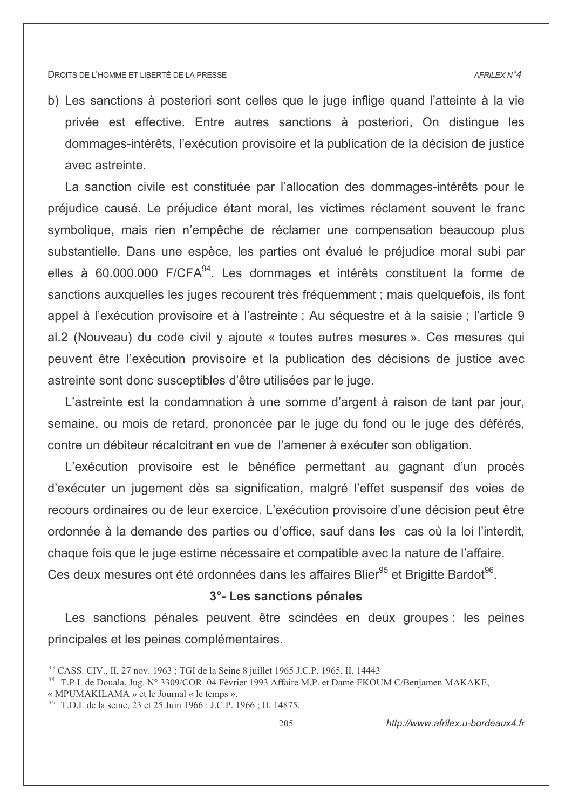b) Les sanctions à posteriori sont celles que le juge inflige quand l'atteinte à la vie privée est effective. Entre autres sanctions à posteriori. On distingue les dommages-intérêts, l'exécution provisoire et la publication de la décision de justice avec astreinte

La sanction civile est constituée par l'allocation des dommages-intérêts pour le préjudice causé. Le préjudice étant moral, les victimes réclament souvent le franc symbolique, mais rien n'empêche de réclamer une compensation beaucoup plus substantielle. Dans une espèce, les parties ont évalué le préjudice moral subi par elles à 60.000.000 F/CFA<sup>94</sup>. Les dommages et intérêts constituent la forme de sanctions auxquelles les juges recourent très fréquemment ; mais quelquefois, ils font appel à l'exécution provisoire et à l'astreinte ; Au séquestre et à la saisie ; l'article 9 al.2 (Nouveau) du code civil y ajoute « toutes autres mesures ». Ces mesures qui peuvent être l'exécution provisoire et la publication des décisions de justice avec astreinte sont donc susceptibles d'être utilisées par le juge.

L'astreinte est la condamnation à une somme d'argent à raison de tant par jour, semaine, ou mois de retard, prononcée par le juge du fond ou le juge des déférés, contre un débiteur récalcitrant en vue de l'amener à exécuter son obligation.

L'exécution provisoire est le bénéfice permettant au gagnant d'un procès d'exécuter un jugement dès sa signification, malgré l'effet suspensif des voies de recours ordinaires ou de leur exercice. L'exécution provisoire d'une décision peut être ordonnée à la demande des parties ou d'office, sauf dans les cas où la loi l'interdit, chaque fois que le juge estime nécessaire et compatible avec la nature de l'affaire. Ces deux mesures ont été ordonnées dans les affaires Blier<sup>95</sup> et Brigitte Bardot<sup>96</sup>.

# 3°- Les sanctions pénales

Les sanctions pénales peuvent être scindées en deux groupes : les peines principales et les peines complémentaires.

<sup>93</sup> CASS, CIV., II, 27 nov. 1963; TGI de la Seine 8 juillet 1965 J.C.P. 1965, II, 14443

<sup>&</sup>lt;sup>94</sup> T.P.I. de Douala, Jug. N° 3309/COR. 04 Février 1993 Affaire M.P. et Dame EKOUM C/Benjamen MAKAKE,

<sup>«</sup> MPUMAKILAMA » et le Journal « le temps ».

<sup>&</sup>lt;sup>95</sup> T.D.I. de la seine, 23 et 25 Juin 1966 : J.C.P. 1966 ; II. 14875.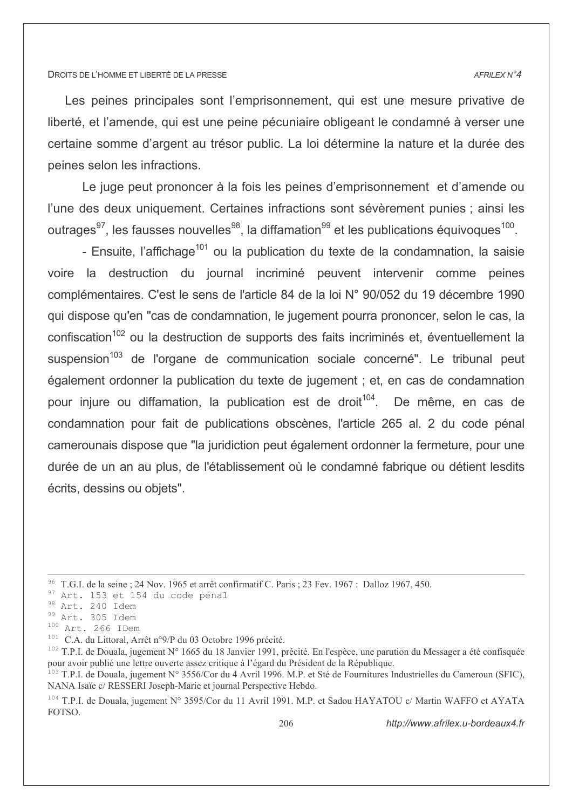#### AFRILEX N°4

Les peines principales sont l'emprisonnement, qui est une mesure privative de liberté, et l'amende, qui est une peine pécuniaire obligeant le condamné à verser une certaine somme d'argent au trésor public. La loi détermine la nature et la durée des peines selon les infractions.

Le juge peut prononcer à la fois les peines d'emprisonnement et d'amende ou l'une des deux uniquement. Certaines infractions sont sévèrement punies ; ainsi les outrages<sup>97</sup>, les fausses nouvelles<sup>98</sup>, la diffamation<sup>99</sup> et les publications équivoques<sup>100</sup>.

- Ensuite, l'affichage<sup>101</sup> ou la publication du texte de la condamnation, la saisie voire la destruction du journal incriminé peuvent intervenir comme peines complémentaires. C'est le sens de l'article 84 de la loi N° 90/052 du 19 décembre 1990 qui dispose qu'en "cas de condamnation, le jugement pourra prononcer, selon le cas, la confiscation<sup>102</sup> ou la destruction de supports des faits incriminés et, éventuellement la suspension<sup>103</sup> de l'organe de communication sociale concerné". Le tribunal peut également ordonner la publication du texte de jugement ; et, en cas de condamnation pour injure ou diffamation, la publication est de droit<sup>104</sup>. De même, en cas de condamnation pour fait de publications obscènes, l'article 265 al. 2 du code pénal camerounais dispose que "la juridiction peut également ordonner la fermeture, pour une durée de un an au plus, de l'établissement où le condamné fabrique ou détient lesdits écrits, dessins ou objets".

<sup>101</sup> C.A. du Littoral, Arrêt n°9/P du 03 Octobre 1996 précité.

<sup>&</sup>lt;sup>96</sup> T.G.I. de la seine ; 24 Nov. 1965 et arrêt confirmatif C. Paris ; 23 Fev. 1967 : Dalloz 1967, 450.

<sup>97</sup> Art. 153 et 154 du code pénal

<sup>98</sup> Art. 240 Idem

<sup>99</sup> Art. 305 Idem

 $100$  Art. 266 IDem

<sup>&</sup>lt;sup>102</sup> T.P.I. de Douala, jugement N° 1665 du 18 Janvier 1991, précité. En l'espèce, une parution du Messager a été confisquée pour avoir publié une lettre ouverte assez critique à l'égard du Président de la République.<br><sup>103</sup> T.P.I. de Douala, jugement N° 3556/Cor du 4 Avril 1996. M.P. et Sté de Fournitures Industrielles du Cameroun (SFIC),

NANA Isaïe c/ RESSERI Joseph-Marie et journal Perspective Hebdo.

<sup>&</sup>lt;sup>104</sup> T.P.I. de Douala, jugement N° 3595/Cor du 11 Avril 1991. M.P. et Sadou HAYATOU c/ Martin WAFFO et AYATA FOTSO.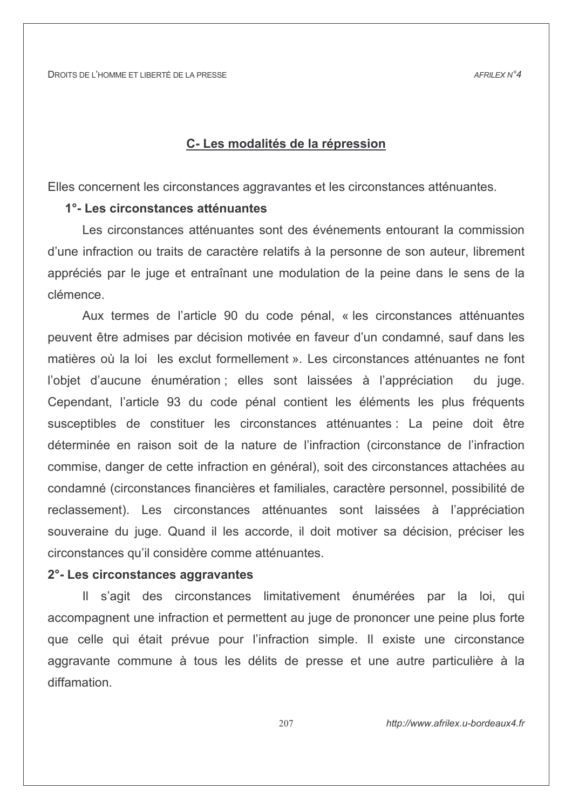# C-Les modalités de la répression

Elles concernent les circonstances aggravantes et les circonstances atténuantes.

# 1°-Les circonstances atténuantes

Les circonstances atténuantes sont des événements entourant la commission d'une infraction ou traits de caractère relatifs à la personne de son auteur, librement appréciés par le juge et entraînant une modulation de la peine dans le sens de la clémence.

Aux termes de l'article 90 du code pénal, « les circonstances atténuantes peuvent être admises par décision motivée en faveur d'un condamné, sauf dans les matières où la loi les exclut formellement ». Les circonstances atténuantes ne font l'obiet d'aucune énumération : elles sont laissées à l'appréciation du juge. Cependant, l'article 93 du code pénal contient les éléments les plus fréquents susceptibles de constituer les circonstances atténuantes : La peine doit être déterminée en raison soit de la nature de l'infraction (circonstance de l'infraction commise, danger de cette infraction en général), soit des circonstances attachées au condamné (circonstances financières et familiales, caractère personnel, possibilité de reclassement). Les circonstances atténuantes sont laissées à l'appréciation souveraine du juge. Quand il les accorde, il doit motiver sa décision, préciser les circonstances qu'il considère comme atténuantes.

# 2°- Les circonstances aggravantes

Il s'agit des circonstances limitativement énumérées par la loi, qui accompagnent une infraction et permettent au juge de prononcer une peine plus forte que celle qui était prévue pour l'infraction simple. Il existe une circonstance aggravante commune à tous les délits de presse et une autre particulière à la diffamation

207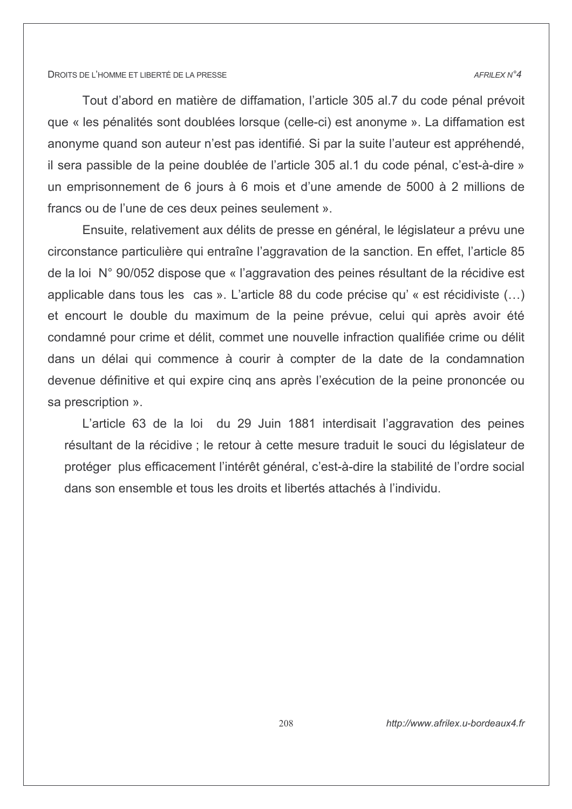#### AFRILEX N°4

Tout d'abord en matière de diffamation, l'article 305 al.7 du code pénal prévoit que « les pénalités sont doublées lorsque (celle-ci) est anonyme ». La diffamation est anonyme quand son auteur n'est pas identifié. Si par la suite l'auteur est appréhendé, il sera passible de la peine doublée de l'article 305 al.1 du code pénal, c'est-à-dire » un emprisonnement de 6 jours à 6 mois et d'une amende de 5000 à 2 millions de francs ou de l'une de ces deux peines seulement ».

Ensuite, relativement aux délits de presse en général, le législateur a prévu une circonstance particulière qui entraîne l'aggravation de la sanction. En effet, l'article 85 de la loi N° 90/052 dispose que « l'aggravation des peines résultant de la récidive est applicable dans tous les cas ». L'article 88 du code précise qu' « est récidiviste (...) et encourt le double du maximum de la peine prévue, celui qui après avoir été condamné pour crime et délit, commet une nouvelle infraction qualifiée crime ou délit dans un délai qui commence à courir à compter de la date de la condamnation devenue définitive et qui expire cinq ans après l'exécution de la peine prononcée ou sa prescription ».

L'article 63 de la loi du 29 Juin 1881 interdisait l'aggravation des peines résultant de la récidive ; le retour à cette mesure traduit le souci du législateur de protéger plus efficacement l'intérêt général, c'est-à-dire la stabilité de l'ordre social dans son ensemble et tous les droits et libertés attachés à l'individu.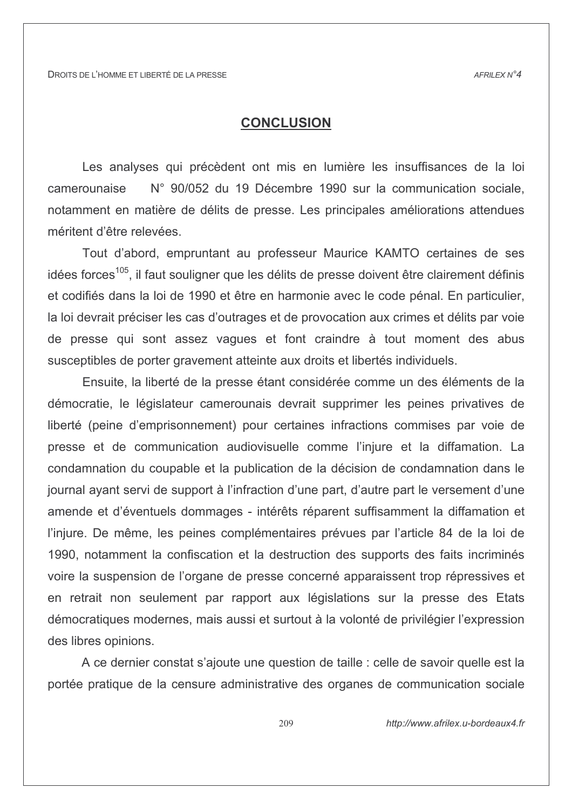# **CONCLUSION**

Les analyses qui précèdent ont mis en lumière les insuffisances de la loi N° 90/052 du 19 Décembre 1990 sur la communication sociale, camerounaise notamment en matière de délits de presse. Les principales améliorations attendues méritent d'être relevées.

Tout d'abord, empruntant au professeur Maurice KAMTO certaines de ses idées forces<sup>105</sup>, il faut souligner que les délits de presse doivent être clairement définis et codifiés dans la loi de 1990 et être en harmonie avec le code pénal. En particulier, la loi devrait préciser les cas d'outrages et de provocation aux crimes et délits par voie de presse qui sont assez vagues et font craindre à tout moment des abus susceptibles de porter gravement atteinte aux droits et libertés individuels.

Ensuite, la liberté de la presse étant considérée comme un des éléments de la démocratie, le législateur camerounais devrait supprimer les peines privatives de liberté (peine d'emprisonnement) pour certaines infractions commises par voie de presse et de communication audiovisuelle comme l'injure et la diffamation. La condamnation du coupable et la publication de la décision de condamnation dans le journal avant servi de support à l'infraction d'une part, d'autre part le versement d'une amende et d'éventuels dommages - intérêts réparent suffisamment la diffamation et l'injure. De même, les peines complémentaires prévues par l'article 84 de la loi de 1990, notamment la confiscation et la destruction des supports des faits incriminés voire la suspension de l'organe de presse concerné apparaissent trop répressives et en retrait non seulement par rapport aux législations sur la presse des Etats démocratiques modernes, mais aussi et surtout à la volonté de privilégier l'expression des libres opinions.

A ce dernier constat s'ajoute une question de taille : celle de savoir quelle est la portée pratique de la censure administrative des organes de communication sociale

http://www.afrilex.u-bordeaux4.fr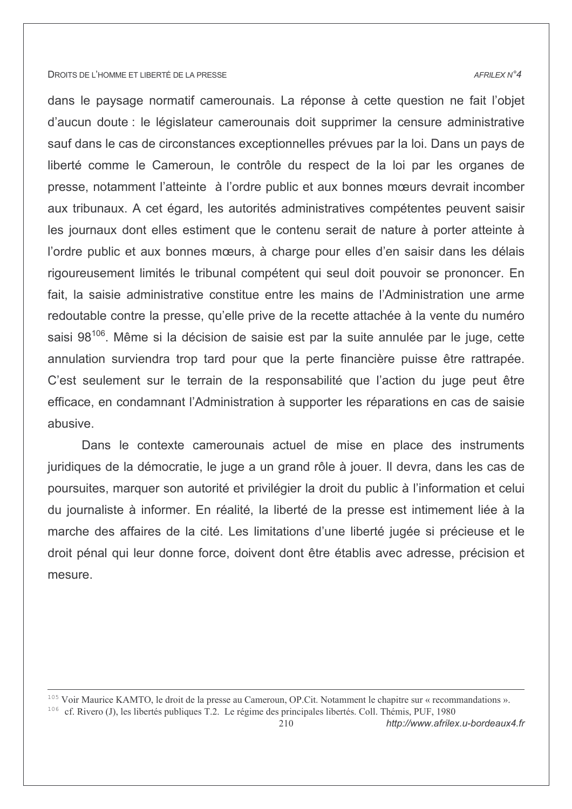#### AFRILEX N°4

dans le paysage normatif camerounais. La réponse à cette question ne fait l'objet d'aucun doute : le législateur camerounais doit supprimer la censure administrative sauf dans le cas de circonstances exceptionnelles prévues par la loi. Dans un pays de liberté comme le Cameroun, le contrôle du respect de la loi par les organes de presse, notamment l'atteinte à l'ordre public et aux bonnes mœurs devrait incomber aux tribunaux. A cet égard, les autorités administratives compétentes peuvent saisir les journaux dont elles estiment que le contenu serait de nature à porter atteinte à l'ordre public et aux bonnes mœurs, à charge pour elles d'en saisir dans les délais rigoureusement limités le tribunal compétent qui seul doit pouvoir se prononcer. En fait, la saisie administrative constitue entre les mains de l'Administration une arme redoutable contre la presse, qu'elle prive de la recette attachée à la vente du numéro saisi 98<sup>106</sup>. Même si la décision de saisie est par la suite annulée par le juge, cette annulation surviendra trop tard pour que la perte financière puisse être rattrapée. C'est seulement sur le terrain de la responsabilité que l'action du juge peut être efficace, en condamnant l'Administration à supporter les réparations en cas de saisie abusive.

Dans le contexte camerounais actuel de mise en place des instruments juridiques de la démocratie, le juge a un grand rôle à jouer. Il devra, dans les cas de poursuites, marquer son autorité et privilégier la droit du public à l'information et celui du journaliste à informer. En réalité, la liberté de la presse est intimement liée à la marche des affaires de la cité. Les limitations d'une liberté jugée si précieuse et le droit pénal qui leur donne force, doivent dont être établis avec adresse, précision et mesure.

<sup>105</sup> Voir Maurice KAMTO, le droit de la presse au Cameroun, OP.Cit. Notamment le chapitre sur « recommandations ». <sup>106</sup> cf. Rivero (J), les libertés publiques T.2. Le régime des principales libertés. Coll. Thémis, PUF, 1980

http://www.afrilex.u-bordeaux4.fr